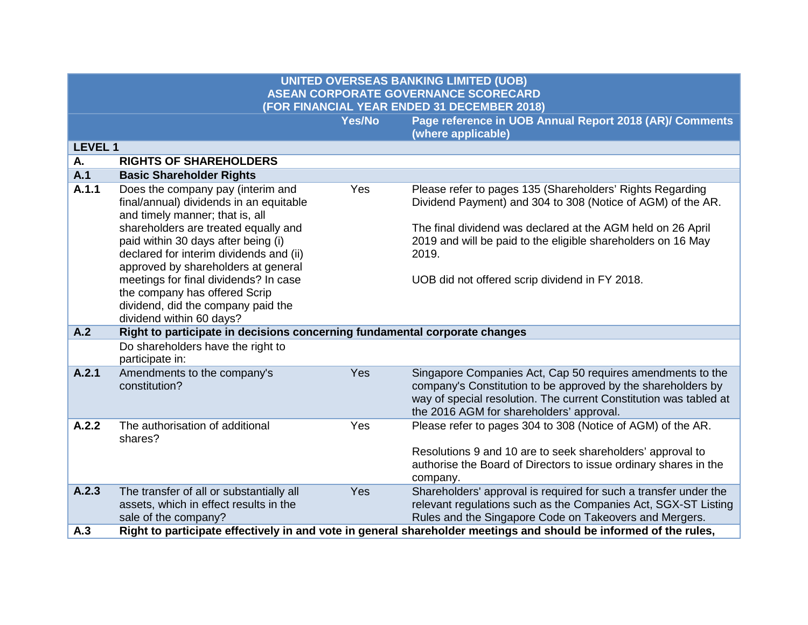## **UNITED OVERSEAS BANKING LIMITED (UOB) ASEAN CORPORATE GOVERNANCE SCORECARD (FOR FINANCIAL YEAR ENDED 31 DECEMBER 2018)**

**Yes/No Page reference in UOB Annual Report 2018 (AR)/ Comments (where applicable)**

| <b>LEVEL1</b> |                                                                                                                                                                                                                                                                                                                                                                                                                              |     |                                                                                                                                                                                                                                                                                                                    |
|---------------|------------------------------------------------------------------------------------------------------------------------------------------------------------------------------------------------------------------------------------------------------------------------------------------------------------------------------------------------------------------------------------------------------------------------------|-----|--------------------------------------------------------------------------------------------------------------------------------------------------------------------------------------------------------------------------------------------------------------------------------------------------------------------|
| Α.            | <b>RIGHTS OF SHAREHOLDERS</b>                                                                                                                                                                                                                                                                                                                                                                                                |     |                                                                                                                                                                                                                                                                                                                    |
| A.1           | <b>Basic Shareholder Rights</b>                                                                                                                                                                                                                                                                                                                                                                                              |     |                                                                                                                                                                                                                                                                                                                    |
| A.1.1         | Does the company pay (interim and<br>final/annual) dividends in an equitable<br>and timely manner; that is, all<br>shareholders are treated equally and<br>paid within 30 days after being (i)<br>declared for interim dividends and (ii)<br>approved by shareholders at general<br>meetings for final dividends? In case<br>the company has offered Scrip<br>dividend, did the company paid the<br>dividend within 60 days? | Yes | Please refer to pages 135 (Shareholders' Rights Regarding<br>Dividend Payment) and 304 to 308 (Notice of AGM) of the AR.<br>The final dividend was declared at the AGM held on 26 April<br>2019 and will be paid to the eligible shareholders on 16 May<br>2019.<br>UOB did not offered scrip dividend in FY 2018. |
| A.2           | Right to participate in decisions concerning fundamental corporate changes                                                                                                                                                                                                                                                                                                                                                   |     |                                                                                                                                                                                                                                                                                                                    |
|               | Do shareholders have the right to<br>participate in:                                                                                                                                                                                                                                                                                                                                                                         |     |                                                                                                                                                                                                                                                                                                                    |
| A.2.1         | Amendments to the company's<br>constitution?                                                                                                                                                                                                                                                                                                                                                                                 | Yes | Singapore Companies Act, Cap 50 requires amendments to the<br>company's Constitution to be approved by the shareholders by<br>way of special resolution. The current Constitution was tabled at<br>the 2016 AGM for shareholders' approval.                                                                        |
| A.2.2         | The authorisation of additional<br>shares?                                                                                                                                                                                                                                                                                                                                                                                   | Yes | Please refer to pages 304 to 308 (Notice of AGM) of the AR.<br>Resolutions 9 and 10 are to seek shareholders' approval to<br>authorise the Board of Directors to issue ordinary shares in the<br>company.                                                                                                          |
| A.2.3         | The transfer of all or substantially all<br>assets, which in effect results in the<br>sale of the company?                                                                                                                                                                                                                                                                                                                   | Yes | Shareholders' approval is required for such a transfer under the<br>relevant regulations such as the Companies Act, SGX-ST Listing<br>Rules and the Singapore Code on Takeovers and Mergers.                                                                                                                       |
| A.3           |                                                                                                                                                                                                                                                                                                                                                                                                                              |     | Right to participate effectively in and vote in general shareholder meetings and should be informed of the rules,                                                                                                                                                                                                  |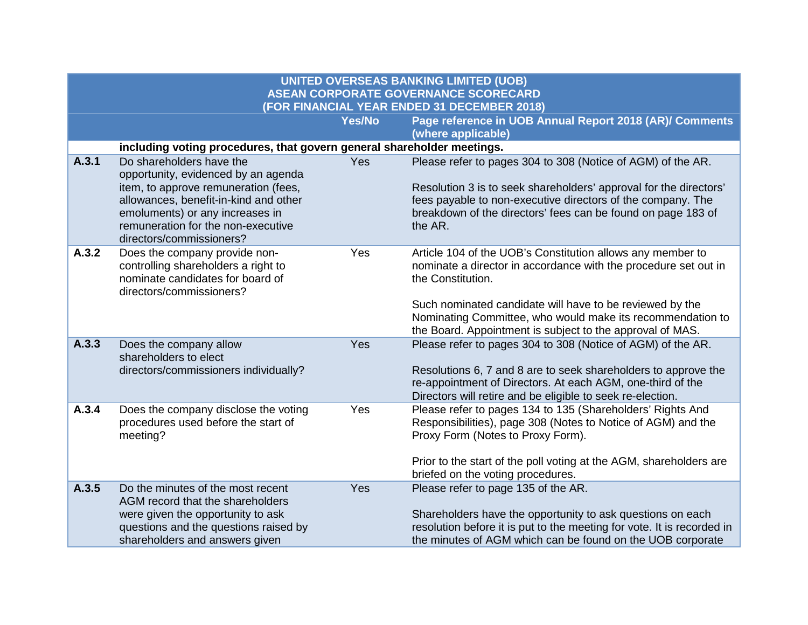|                                             | <b>UNITED OVERSEAS BANKING LIMITED (UOB)</b>                                                                                                                                       |                                                         |                                                                                                                                                                                                             |  |
|---------------------------------------------|------------------------------------------------------------------------------------------------------------------------------------------------------------------------------------|---------------------------------------------------------|-------------------------------------------------------------------------------------------------------------------------------------------------------------------------------------------------------------|--|
|                                             | <b>ASEAN CORPORATE GOVERNANCE SCORECARD</b>                                                                                                                                        |                                                         |                                                                                                                                                                                                             |  |
| (FOR FINANCIAL YEAR ENDED 31 DECEMBER 2018) |                                                                                                                                                                                    |                                                         |                                                                                                                                                                                                             |  |
|                                             |                                                                                                                                                                                    | Page reference in UOB Annual Report 2018 (AR)/ Comments |                                                                                                                                                                                                             |  |
|                                             |                                                                                                                                                                                    |                                                         | (where applicable)                                                                                                                                                                                          |  |
|                                             | including voting procedures, that govern general shareholder meetings.                                                                                                             |                                                         |                                                                                                                                                                                                             |  |
| A.3.1                                       | Do shareholders have the<br>opportunity, evidenced by an agenda                                                                                                                    | Yes                                                     | Please refer to pages 304 to 308 (Notice of AGM) of the AR.                                                                                                                                                 |  |
|                                             | item, to approve remuneration (fees,<br>allowances, benefit-in-kind and other<br>emoluments) or any increases in<br>remuneration for the non-executive<br>directors/commissioners? |                                                         | Resolution 3 is to seek shareholders' approval for the directors'<br>fees payable to non-executive directors of the company. The<br>breakdown of the directors' fees can be found on page 183 of<br>the AR. |  |
| A.3.2                                       | Does the company provide non-<br>controlling shareholders a right to<br>nominate candidates for board of<br>directors/commissioners?                                               | Yes                                                     | Article 104 of the UOB's Constitution allows any member to<br>nominate a director in accordance with the procedure set out in<br>the Constitution.                                                          |  |
|                                             |                                                                                                                                                                                    |                                                         | Such nominated candidate will have to be reviewed by the<br>Nominating Committee, who would make its recommendation to<br>the Board. Appointment is subject to the approval of MAS.                         |  |
| A.3.3                                       | Does the company allow<br>shareholders to elect<br>directors/commissioners individually?                                                                                           | Yes                                                     | Please refer to pages 304 to 308 (Notice of AGM) of the AR.<br>Resolutions 6, 7 and 8 are to seek shareholders to approve the                                                                               |  |
|                                             |                                                                                                                                                                                    |                                                         | re-appointment of Directors. At each AGM, one-third of the<br>Directors will retire and be eligible to seek re-election.                                                                                    |  |
| A.3.4                                       | Does the company disclose the voting<br>procedures used before the start of<br>meeting?                                                                                            | Yes                                                     | Please refer to pages 134 to 135 (Shareholders' Rights And<br>Responsibilities), page 308 (Notes to Notice of AGM) and the<br>Proxy Form (Notes to Proxy Form).                                             |  |
|                                             |                                                                                                                                                                                    |                                                         | Prior to the start of the poll voting at the AGM, shareholders are<br>briefed on the voting procedures.                                                                                                     |  |
| A.3.5                                       | Do the minutes of the most recent<br>AGM record that the shareholders                                                                                                              | <b>Yes</b>                                              | Please refer to page 135 of the AR.                                                                                                                                                                         |  |
|                                             | were given the opportunity to ask<br>questions and the questions raised by<br>shareholders and answers given                                                                       |                                                         | Shareholders have the opportunity to ask questions on each<br>resolution before it is put to the meeting for vote. It is recorded in<br>the minutes of AGM which can be found on the UOB corporate          |  |
|                                             |                                                                                                                                                                                    |                                                         |                                                                                                                                                                                                             |  |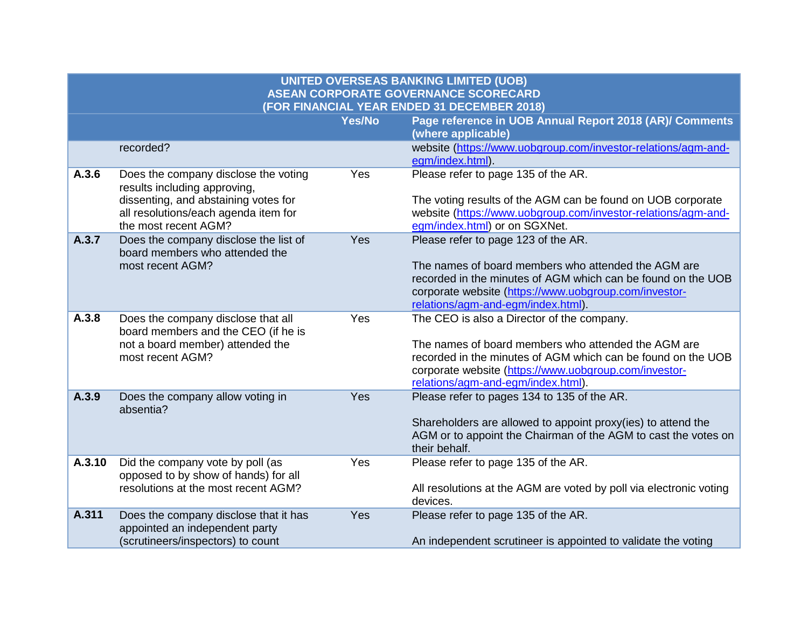|        | <b>UNITED OVERSEAS BANKING LIMITED (UOB)</b>                              |        |                                                                    |  |
|--------|---------------------------------------------------------------------------|--------|--------------------------------------------------------------------|--|
|        | <b>ASEAN CORPORATE GOVERNANCE SCORECARD</b>                               |        |                                                                    |  |
|        |                                                                           |        | (FOR FINANCIAL YEAR ENDED 31 DECEMBER 2018)                        |  |
|        |                                                                           | Yes/No | Page reference in UOB Annual Report 2018 (AR)/ Comments            |  |
|        |                                                                           |        | (where applicable)                                                 |  |
|        | recorded?                                                                 |        | website (https://www.uobgroup.com/investor-relations/agm-and-      |  |
|        |                                                                           |        | egm/index.html).                                                   |  |
| A.3.6  | Does the company disclose the voting<br>results including approving,      | Yes    | Please refer to page 135 of the AR.                                |  |
|        | dissenting, and abstaining votes for                                      |        | The voting results of the AGM can be found on UOB corporate        |  |
|        | all resolutions/each agenda item for                                      |        | website (https://www.uobgroup.com/investor-relations/agm-and-      |  |
|        | the most recent AGM?                                                      |        | egm/index.html) or on SGXNet.                                      |  |
| A.3.7  | Does the company disclose the list of<br>board members who attended the   | Yes    | Please refer to page 123 of the AR.                                |  |
|        | most recent AGM?                                                          |        | The names of board members who attended the AGM are                |  |
|        |                                                                           |        | recorded in the minutes of AGM which can be found on the UOB       |  |
|        |                                                                           |        | corporate website (https://www.uobgroup.com/investor-              |  |
|        |                                                                           |        | relations/agm-and-egm/index.html).                                 |  |
| A.3.8  | Does the company disclose that all<br>board members and the CEO (if he is | Yes    | The CEO is also a Director of the company.                         |  |
|        | not a board member) attended the                                          |        | The names of board members who attended the AGM are                |  |
|        | most recent AGM?                                                          |        | recorded in the minutes of AGM which can be found on the UOB       |  |
|        |                                                                           |        | corporate website (https://www.uobgroup.com/investor-              |  |
|        |                                                                           |        | relations/agm-and-egm/index.html).                                 |  |
| A.3.9  | Does the company allow voting in<br>absentia?                             | Yes    | Please refer to pages 134 to 135 of the AR.                        |  |
|        |                                                                           |        | Shareholders are allowed to appoint proxy(ies) to attend the       |  |
|        |                                                                           |        | AGM or to appoint the Chairman of the AGM to cast the votes on     |  |
|        |                                                                           |        | their behalf.                                                      |  |
| A.3.10 | Did the company vote by poll (as                                          | Yes    | Please refer to page 135 of the AR.                                |  |
|        | opposed to by show of hands) for all                                      |        |                                                                    |  |
|        | resolutions at the most recent AGM?                                       |        | All resolutions at the AGM are voted by poll via electronic voting |  |
|        |                                                                           |        | devices.                                                           |  |
| A.311  | Does the company disclose that it has<br>appointed an independent party   | Yes    | Please refer to page 135 of the AR.                                |  |
|        | (scrutineers/inspectors) to count                                         |        | An independent scrutineer is appointed to validate the voting      |  |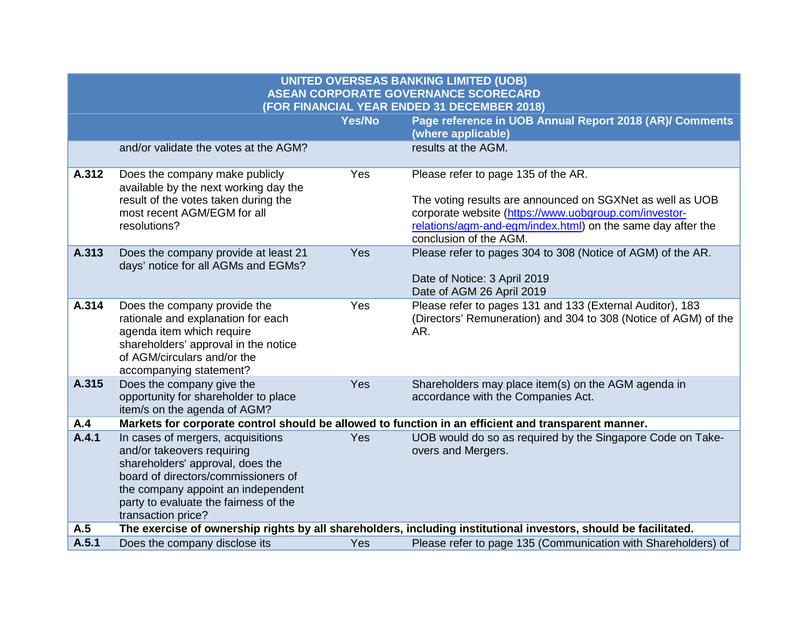| <b>ASEAN CORPORATE GOVERNANCE SCORECARD</b><br>(FOR FINANCIAL YEAR ENDED 31 DECEMBER 2018)<br>Page reference in UOB Annual Report 2018 (AR)/ Comments<br>Yes/No<br>(where applicable)<br>results at the AGM.<br>and/or validate the votes at the AGM?                                                                                                      |  |
|------------------------------------------------------------------------------------------------------------------------------------------------------------------------------------------------------------------------------------------------------------------------------------------------------------------------------------------------------------|--|
|                                                                                                                                                                                                                                                                                                                                                            |  |
|                                                                                                                                                                                                                                                                                                                                                            |  |
|                                                                                                                                                                                                                                                                                                                                                            |  |
|                                                                                                                                                                                                                                                                                                                                                            |  |
|                                                                                                                                                                                                                                                                                                                                                            |  |
| A.312<br>Yes<br>Does the company make publicly<br>Please refer to page 135 of the AR.<br>available by the next working day the                                                                                                                                                                                                                             |  |
| result of the votes taken during the<br>The voting results are announced on SGXNet as well as UOB                                                                                                                                                                                                                                                          |  |
| most recent AGM/EGM for all<br>corporate website (https://www.uobgroup.com/investor-                                                                                                                                                                                                                                                                       |  |
| relations/agm-and-egm/index.html) on the same day after the<br>resolutions?<br>conclusion of the AGM.                                                                                                                                                                                                                                                      |  |
| Does the company provide at least 21<br><b>Yes</b><br>Please refer to pages 304 to 308 (Notice of AGM) of the AR.<br>A.313<br>days' notice for all AGMs and EGMs?                                                                                                                                                                                          |  |
| Date of Notice: 3 April 2019                                                                                                                                                                                                                                                                                                                               |  |
| Date of AGM 26 April 2019                                                                                                                                                                                                                                                                                                                                  |  |
| A.314<br>Yes<br>Please refer to pages 131 and 133 (External Auditor), 183<br>Does the company provide the<br>rationale and explanation for each<br>(Directors' Remuneration) and 304 to 308 (Notice of AGM) of the<br>agenda item which require<br>AR.<br>shareholders' approval in the notice<br>of AGM/circulars and/or the<br>accompanying statement?   |  |
| A.315<br>Yes<br>Does the company give the<br>Shareholders may place item(s) on the AGM agenda in<br>opportunity for shareholder to place<br>accordance with the Companies Act.<br>item/s on the agenda of AGM?                                                                                                                                             |  |
| Markets for corporate control should be allowed to function in an efficient and transparent manner.<br>A.4                                                                                                                                                                                                                                                 |  |
| A.4.1<br>In cases of mergers, acquisitions<br>UOB would do so as required by the Singapore Code on Take-<br><b>Yes</b><br>and/or takeovers requiring<br>overs and Mergers.<br>shareholders' approval, does the<br>board of directors/commissioners of<br>the company appoint an independent<br>party to evaluate the fairness of the<br>transaction price? |  |
| A.5<br>The exercise of ownership rights by all shareholders, including institutional investors, should be facilitated.                                                                                                                                                                                                                                     |  |
| A.5.1<br>Does the company disclose its<br>Please refer to page 135 (Communication with Shareholders) of<br>Yes                                                                                                                                                                                                                                             |  |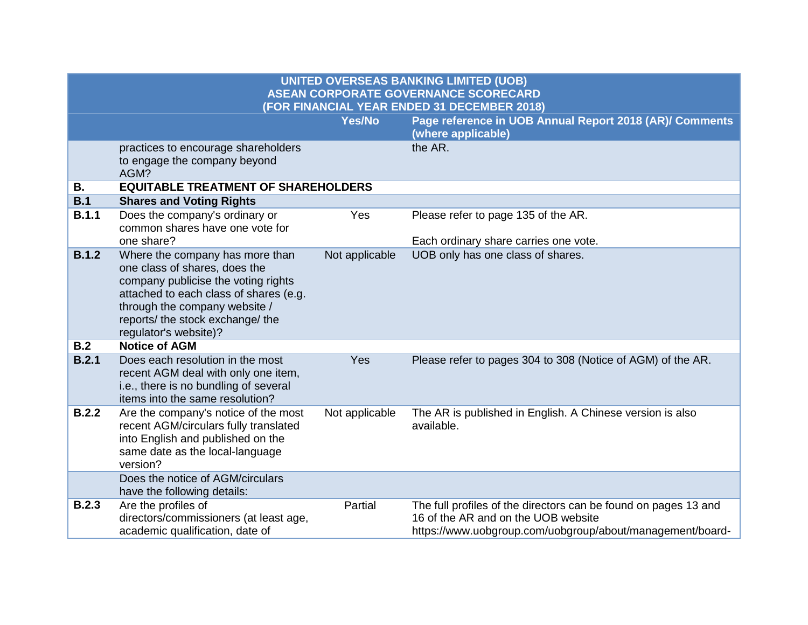|              | <b>UNITED OVERSEAS BANKING LIMITED (UOB)</b><br><b>ASEAN CORPORATE GOVERNANCE SCORECARD</b><br>(FOR FINANCIAL YEAR ENDED 31 DECEMBER 2018)                                                                                                      |                |                                                                                                                                                                     |  |
|--------------|-------------------------------------------------------------------------------------------------------------------------------------------------------------------------------------------------------------------------------------------------|----------------|---------------------------------------------------------------------------------------------------------------------------------------------------------------------|--|
|              |                                                                                                                                                                                                                                                 | Yes/No         | Page reference in UOB Annual Report 2018 (AR)/ Comments<br>(where applicable)                                                                                       |  |
|              | practices to encourage shareholders<br>to engage the company beyond<br>AGM?                                                                                                                                                                     |                | the AR.                                                                                                                                                             |  |
| <b>B.</b>    | <b>EQUITABLE TREATMENT OF SHAREHOLDERS</b>                                                                                                                                                                                                      |                |                                                                                                                                                                     |  |
| B.1          | <b>Shares and Voting Rights</b>                                                                                                                                                                                                                 |                |                                                                                                                                                                     |  |
| <b>B.1.1</b> | Does the company's ordinary or<br>common shares have one vote for                                                                                                                                                                               | Yes            | Please refer to page 135 of the AR.                                                                                                                                 |  |
|              | one share?                                                                                                                                                                                                                                      |                | Each ordinary share carries one vote.                                                                                                                               |  |
| <b>B.1.2</b> | Where the company has more than<br>one class of shares, does the<br>company publicise the voting rights<br>attached to each class of shares (e.g.<br>through the company website /<br>reports/ the stock exchange/ the<br>regulator's website)? | Not applicable | UOB only has one class of shares.                                                                                                                                   |  |
| B.2          | <b>Notice of AGM</b>                                                                                                                                                                                                                            |                |                                                                                                                                                                     |  |
| B.2.1        | Does each resolution in the most<br>recent AGM deal with only one item,<br>i.e., there is no bundling of several<br>items into the same resolution?                                                                                             | Yes            | Please refer to pages 304 to 308 (Notice of AGM) of the AR.                                                                                                         |  |
| B.2.2        | Are the company's notice of the most<br>recent AGM/circulars fully translated<br>into English and published on the<br>same date as the local-language<br>version?                                                                               | Not applicable | The AR is published in English. A Chinese version is also<br>available.                                                                                             |  |
|              | Does the notice of AGM/circulars<br>have the following details:                                                                                                                                                                                 |                |                                                                                                                                                                     |  |
| B.2.3        | Are the profiles of<br>directors/commissioners (at least age,<br>academic qualification, date of                                                                                                                                                | Partial        | The full profiles of the directors can be found on pages 13 and<br>16 of the AR and on the UOB website<br>https://www.uobgroup.com/uobgroup/about/management/board- |  |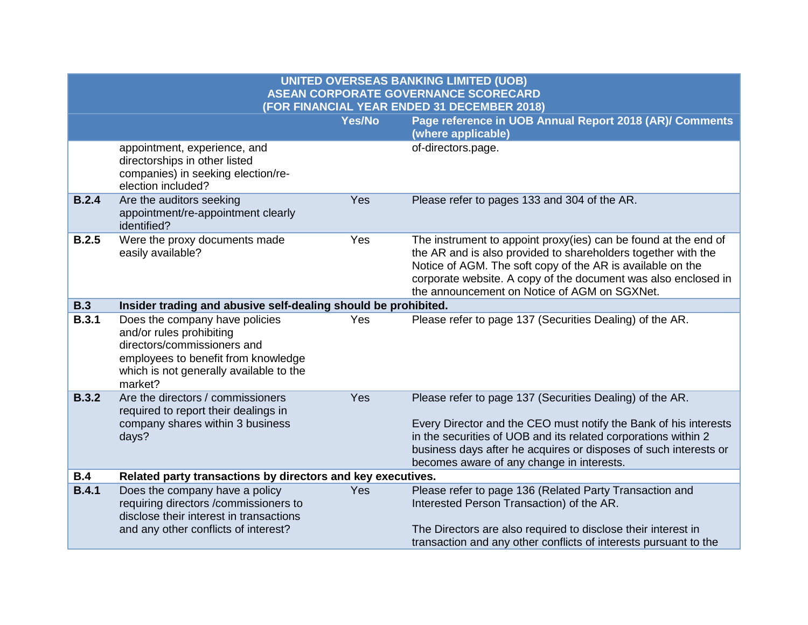|              | <b>UNITED OVERSEAS BANKING LIMITED (UOB)</b><br><b>ASEAN CORPORATE GOVERNANCE SCORECARD</b><br>(FOR FINANCIAL YEAR ENDED 31 DECEMBER 2018)                                             |        |                                                                                                                                                                                                                                                                                                                  |  |
|--------------|----------------------------------------------------------------------------------------------------------------------------------------------------------------------------------------|--------|------------------------------------------------------------------------------------------------------------------------------------------------------------------------------------------------------------------------------------------------------------------------------------------------------------------|--|
|              |                                                                                                                                                                                        | Yes/No | Page reference in UOB Annual Report 2018 (AR)/ Comments<br>(where applicable)                                                                                                                                                                                                                                    |  |
|              | appointment, experience, and<br>directorships in other listed<br>companies) in seeking election/re-<br>election included?                                                              |        | of-directors.page.                                                                                                                                                                                                                                                                                               |  |
| B.2.4        | Are the auditors seeking<br>appointment/re-appointment clearly<br>identified?                                                                                                          | Yes    | Please refer to pages 133 and 304 of the AR.                                                                                                                                                                                                                                                                     |  |
| B.2.5        | Were the proxy documents made<br>easily available?                                                                                                                                     | Yes    | The instrument to appoint proxy(ies) can be found at the end of<br>the AR and is also provided to shareholders together with the<br>Notice of AGM. The soft copy of the AR is available on the<br>corporate website. A copy of the document was also enclosed in<br>the announcement on Notice of AGM on SGXNet. |  |
| <b>B.3</b>   | Insider trading and abusive self-dealing should be prohibited.                                                                                                                         |        |                                                                                                                                                                                                                                                                                                                  |  |
| <b>B.3.1</b> | Does the company have policies<br>and/or rules prohibiting<br>directors/commissioners and<br>employees to benefit from knowledge<br>which is not generally available to the<br>market? | Yes    | Please refer to page 137 (Securities Dealing) of the AR.                                                                                                                                                                                                                                                         |  |
| <b>B.3.2</b> | Are the directors / commissioners<br>required to report their dealings in<br>company shares within 3 business<br>days?                                                                 | Yes    | Please refer to page 137 (Securities Dealing) of the AR.<br>Every Director and the CEO must notify the Bank of his interests<br>in the securities of UOB and its related corporations within 2<br>business days after he acquires or disposes of such interests or<br>becomes aware of any change in interests.  |  |
| B.4          | Related party transactions by directors and key executives.                                                                                                                            |        |                                                                                                                                                                                                                                                                                                                  |  |
| <b>B.4.1</b> | Does the company have a policy<br>requiring directors /commissioners to<br>disclose their interest in transactions                                                                     | Yes    | Please refer to page 136 (Related Party Transaction and<br>Interested Person Transaction) of the AR.                                                                                                                                                                                                             |  |
|              | and any other conflicts of interest?                                                                                                                                                   |        | The Directors are also required to disclose their interest in<br>transaction and any other conflicts of interests pursuant to the                                                                                                                                                                                |  |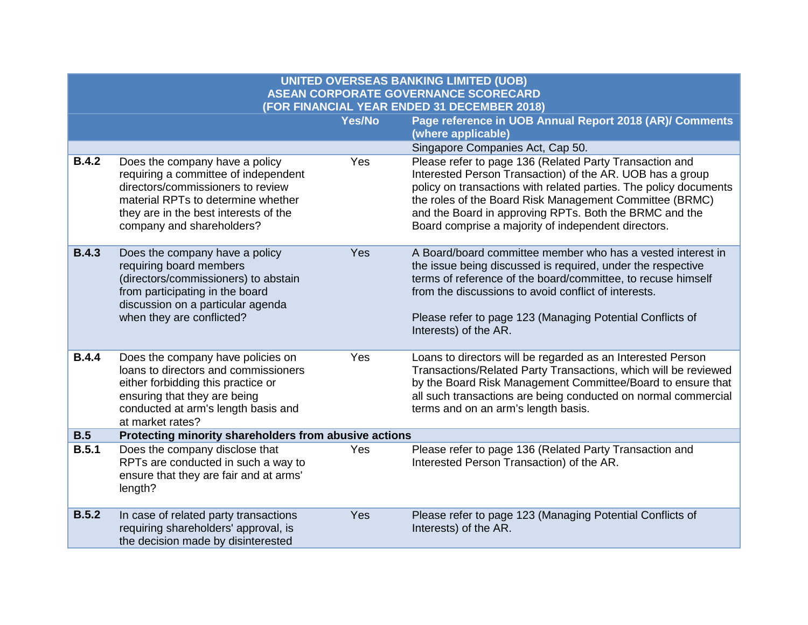|              | <b>UNITED OVERSEAS BANKING LIMITED (UOB)</b><br><b>ASEAN CORPORATE GOVERNANCE SCORECARD</b>                                                                                                                             |        |                                                                                                                                                                                                                                                                                                                                                                       |  |
|--------------|-------------------------------------------------------------------------------------------------------------------------------------------------------------------------------------------------------------------------|--------|-----------------------------------------------------------------------------------------------------------------------------------------------------------------------------------------------------------------------------------------------------------------------------------------------------------------------------------------------------------------------|--|
|              |                                                                                                                                                                                                                         |        | (FOR FINANCIAL YEAR ENDED 31 DECEMBER 2018)                                                                                                                                                                                                                                                                                                                           |  |
|              |                                                                                                                                                                                                                         | Yes/No | Page reference in UOB Annual Report 2018 (AR)/ Comments<br>(where applicable)                                                                                                                                                                                                                                                                                         |  |
|              |                                                                                                                                                                                                                         |        | Singapore Companies Act, Cap 50.                                                                                                                                                                                                                                                                                                                                      |  |
| <b>B.4.2</b> | Does the company have a policy<br>requiring a committee of independent<br>directors/commissioners to review<br>material RPTs to determine whether<br>they are in the best interests of the<br>company and shareholders? | Yes    | Please refer to page 136 (Related Party Transaction and<br>Interested Person Transaction) of the AR. UOB has a group<br>policy on transactions with related parties. The policy documents<br>the roles of the Board Risk Management Committee (BRMC)<br>and the Board in approving RPTs. Both the BRMC and the<br>Board comprise a majority of independent directors. |  |
| <b>B.4.3</b> | Does the company have a policy<br>requiring board members<br>(directors/commissioners) to abstain<br>from participating in the board<br>discussion on a particular agenda<br>when they are conflicted?                  | Yes    | A Board/board committee member who has a vested interest in<br>the issue being discussed is required, under the respective<br>terms of reference of the board/committee, to recuse himself<br>from the discussions to avoid conflict of interests.<br>Please refer to page 123 (Managing Potential Conflicts of<br>Interests) of the AR.                              |  |
| <b>B.4.4</b> | Does the company have policies on<br>loans to directors and commissioners<br>either forbidding this practice or<br>ensuring that they are being<br>conducted at arm's length basis and<br>at market rates?              | Yes    | Loans to directors will be regarded as an Interested Person<br>Transactions/Related Party Transactions, which will be reviewed<br>by the Board Risk Management Committee/Board to ensure that<br>all such transactions are being conducted on normal commercial<br>terms and on an arm's length basis.                                                                |  |
| B.5          | Protecting minority shareholders from abusive actions                                                                                                                                                                   |        |                                                                                                                                                                                                                                                                                                                                                                       |  |
| B.5.1        | Does the company disclose that<br>RPTs are conducted in such a way to<br>ensure that they are fair and at arms'<br>length?                                                                                              | Yes    | Please refer to page 136 (Related Party Transaction and<br>Interested Person Transaction) of the AR.                                                                                                                                                                                                                                                                  |  |
| B.5.2        | In case of related party transactions<br>requiring shareholders' approval, is<br>the decision made by disinterested                                                                                                     | Yes    | Please refer to page 123 (Managing Potential Conflicts of<br>Interests) of the AR.                                                                                                                                                                                                                                                                                    |  |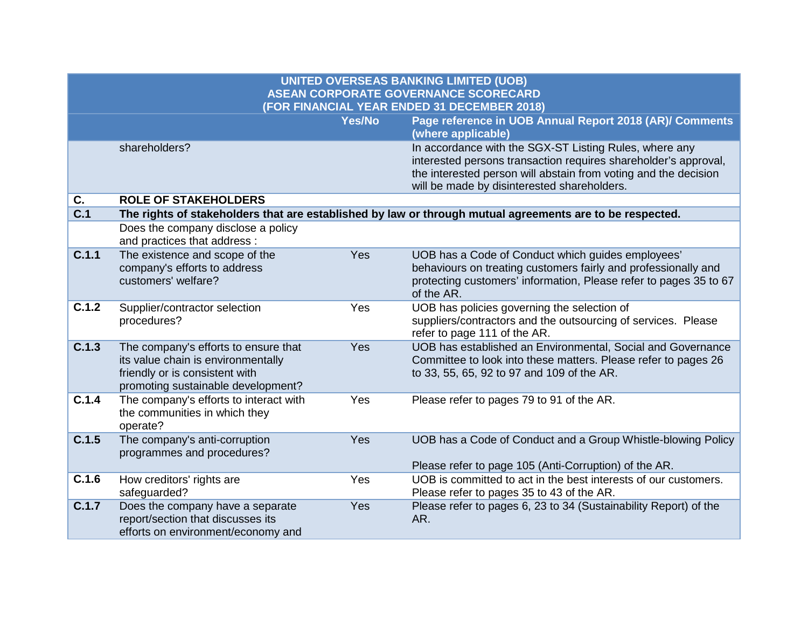|                                             | <b>UNITED OVERSEAS BANKING LIMITED (UOB)</b> |        |                                                                                                          |  |
|---------------------------------------------|----------------------------------------------|--------|----------------------------------------------------------------------------------------------------------|--|
| <b>ASEAN CORPORATE GOVERNANCE SCORECARD</b> |                                              |        |                                                                                                          |  |
|                                             |                                              |        | (FOR FINANCIAL YEAR ENDED 31 DECEMBER 2018)                                                              |  |
|                                             |                                              | Yes/No | Page reference in UOB Annual Report 2018 (AR)/ Comments                                                  |  |
|                                             |                                              |        | (where applicable)                                                                                       |  |
|                                             | shareholders?                                |        | In accordance with the SGX-ST Listing Rules, where any                                                   |  |
|                                             |                                              |        | interested persons transaction requires shareholder's approval,                                          |  |
|                                             |                                              |        | the interested person will abstain from voting and the decision                                          |  |
|                                             |                                              |        | will be made by disinterested shareholders.                                                              |  |
| C.                                          | <b>ROLE OF STAKEHOLDERS</b>                  |        |                                                                                                          |  |
| $\overline{C.1}$                            |                                              |        | The rights of stakeholders that are established by law or through mutual agreements are to be respected. |  |
|                                             | Does the company disclose a policy           |        |                                                                                                          |  |
|                                             | and practices that address :                 |        |                                                                                                          |  |
| C.1.1                                       | The existence and scope of the               | Yes    | UOB has a Code of Conduct which guides employees'                                                        |  |
|                                             | company's efforts to address                 |        | behaviours on treating customers fairly and professionally and                                           |  |
|                                             | customers' welfare?                          |        | protecting customers' information, Please refer to pages 35 to 67                                        |  |
|                                             |                                              |        | of the AR.                                                                                               |  |
| C.1.2                                       | Supplier/contractor selection                | Yes    | UOB has policies governing the selection of                                                              |  |
|                                             | procedures?                                  |        | suppliers/contractors and the outsourcing of services. Please                                            |  |
|                                             |                                              |        | refer to page 111 of the AR.                                                                             |  |
| C.1.3                                       | The company's efforts to ensure that         | Yes    | UOB has established an Environmental, Social and Governance                                              |  |
|                                             | its value chain is environmentally           |        | Committee to look into these matters. Please refer to pages 26                                           |  |
|                                             | friendly or is consistent with               |        | to 33, 55, 65, 92 to 97 and 109 of the AR.                                                               |  |
|                                             | promoting sustainable development?           | Yes    |                                                                                                          |  |
| C.1.4                                       | The company's efforts to interact with       |        | Please refer to pages 79 to 91 of the AR.                                                                |  |
|                                             | the communities in which they<br>operate?    |        |                                                                                                          |  |
| C.1.5                                       | The company's anti-corruption                | Yes    | UOB has a Code of Conduct and a Group Whistle-blowing Policy                                             |  |
|                                             | programmes and procedures?                   |        |                                                                                                          |  |
|                                             |                                              |        | Please refer to page 105 (Anti-Corruption) of the AR.                                                    |  |
| C.1.6                                       | How creditors' rights are                    | Yes    | UOB is committed to act in the best interests of our customers.                                          |  |
|                                             | safeguarded?                                 |        | Please refer to pages 35 to 43 of the AR.                                                                |  |
| C.1.7                                       | Does the company have a separate             | Yes    | Please refer to pages 6, 23 to 34 (Sustainability Report) of the                                         |  |
|                                             |                                              |        |                                                                                                          |  |
|                                             | efforts on environment/economy and           |        |                                                                                                          |  |
|                                             | report/section that discusses its            |        | AR.                                                                                                      |  |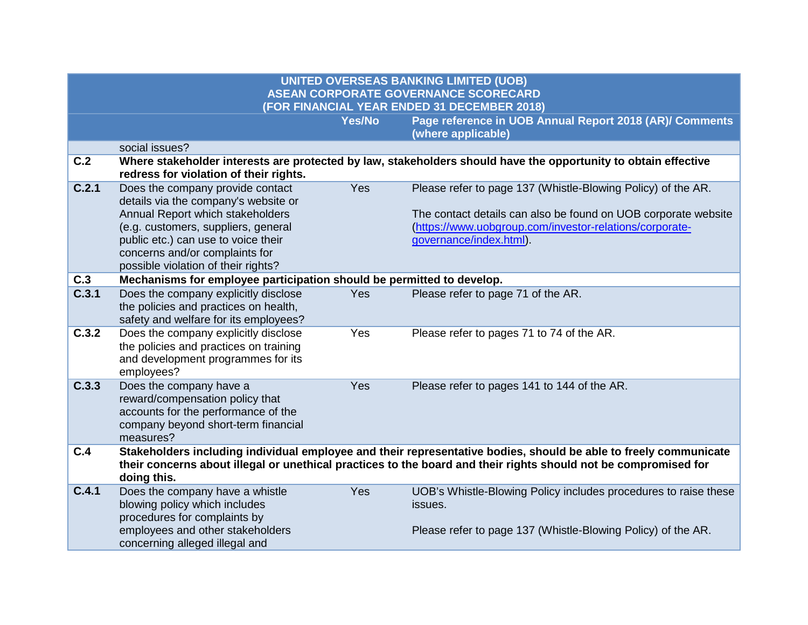|       | <b>UNITED OVERSEAS BANKING LIMITED (UOB)</b><br><b>ASEAN CORPORATE GOVERNANCE SCORECARD</b><br>(FOR FINANCIAL YEAR ENDED 31 DECEMBER 2018)                                                                                                                          |        |                                                                                                                                                                                                                                     |
|-------|---------------------------------------------------------------------------------------------------------------------------------------------------------------------------------------------------------------------------------------------------------------------|--------|-------------------------------------------------------------------------------------------------------------------------------------------------------------------------------------------------------------------------------------|
|       |                                                                                                                                                                                                                                                                     | Yes/No | Page reference in UOB Annual Report 2018 (AR)/ Comments<br>(where applicable)                                                                                                                                                       |
|       | social issues?                                                                                                                                                                                                                                                      |        |                                                                                                                                                                                                                                     |
| C.2   | redress for violation of their rights.                                                                                                                                                                                                                              |        | Where stakeholder interests are protected by law, stakeholders should have the opportunity to obtain effective                                                                                                                      |
| C.2.1 | Does the company provide contact<br>details via the company's website or<br>Annual Report which stakeholders<br>(e.g. customers, suppliers, general<br>public etc.) can use to voice their<br>concerns and/or complaints for<br>possible violation of their rights? | Yes    | Please refer to page 137 (Whistle-Blowing Policy) of the AR.<br>The contact details can also be found on UOB corporate website<br>(https://www.uobgroup.com/investor-relations/corporate-<br>governance/index.html).                |
| C.3   | Mechanisms for employee participation should be permitted to develop.                                                                                                                                                                                               |        |                                                                                                                                                                                                                                     |
| C.3.1 | Does the company explicitly disclose<br>the policies and practices on health,<br>safety and welfare for its employees?                                                                                                                                              | Yes    | Please refer to page 71 of the AR.                                                                                                                                                                                                  |
| C.3.2 | Does the company explicitly disclose<br>the policies and practices on training<br>and development programmes for its<br>employees?                                                                                                                                  | Yes    | Please refer to pages 71 to 74 of the AR.                                                                                                                                                                                           |
| C.3.3 | Does the company have a<br>reward/compensation policy that<br>accounts for the performance of the<br>company beyond short-term financial<br>measures?                                                                                                               | Yes    | Please refer to pages 141 to 144 of the AR.                                                                                                                                                                                         |
| C.4   | doing this.                                                                                                                                                                                                                                                         |        | Stakeholders including individual employee and their representative bodies, should be able to freely communicate<br>their concerns about illegal or unethical practices to the board and their rights should not be compromised for |
| C.4.1 | Does the company have a whistle<br>blowing policy which includes<br>procedures for complaints by                                                                                                                                                                    | Yes    | UOB's Whistle-Blowing Policy includes procedures to raise these<br>issues.                                                                                                                                                          |
|       | employees and other stakeholders<br>concerning alleged illegal and                                                                                                                                                                                                  |        | Please refer to page 137 (Whistle-Blowing Policy) of the AR.                                                                                                                                                                        |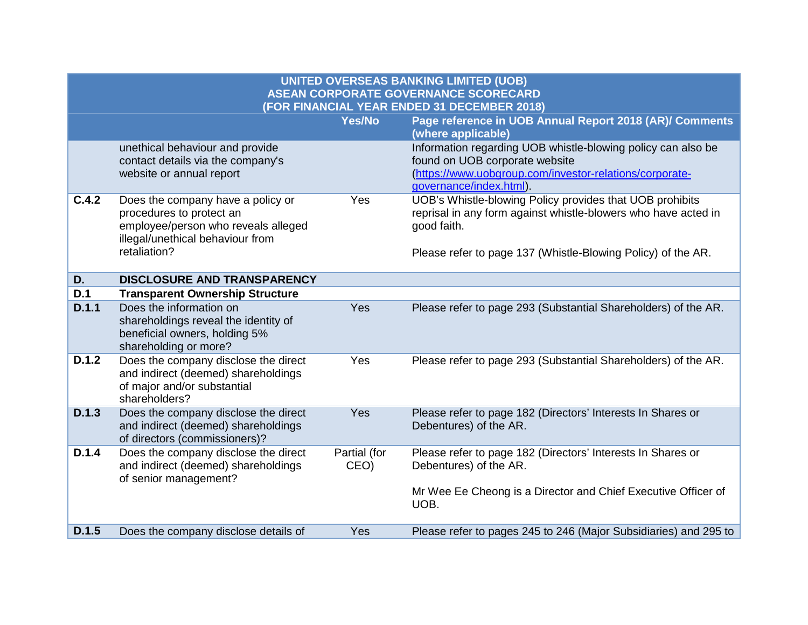| <b>UNITED OVERSEAS BANKING LIMITED (UOB)</b><br><b>ASEAN CORPORATE GOVERNANCE SCORECARD</b><br>(FOR FINANCIAL YEAR ENDED 31 DECEMBER 2018) |                                                                                                                                                          |                      |                                                                                                                                                                                                           |
|--------------------------------------------------------------------------------------------------------------------------------------------|----------------------------------------------------------------------------------------------------------------------------------------------------------|----------------------|-----------------------------------------------------------------------------------------------------------------------------------------------------------------------------------------------------------|
|                                                                                                                                            |                                                                                                                                                          | Yes/No               | Page reference in UOB Annual Report 2018 (AR)/ Comments<br>(where applicable)                                                                                                                             |
|                                                                                                                                            | unethical behaviour and provide<br>contact details via the company's<br>website or annual report                                                         |                      | Information regarding UOB whistle-blowing policy can also be<br>found on UOB corporate website<br>(https://www.uobgroup.com/investor-relations/corporate-<br>governance/index.html).                      |
| C.4.2                                                                                                                                      | Does the company have a policy or<br>procedures to protect an<br>employee/person who reveals alleged<br>illegal/unethical behaviour from<br>retaliation? | Yes                  | UOB's Whistle-blowing Policy provides that UOB prohibits<br>reprisal in any form against whistle-blowers who have acted in<br>good faith.<br>Please refer to page 137 (Whistle-Blowing Policy) of the AR. |
| D.                                                                                                                                         | <b>DISCLOSURE AND TRANSPARENCY</b>                                                                                                                       |                      |                                                                                                                                                                                                           |
| D.1                                                                                                                                        | <b>Transparent Ownership Structure</b>                                                                                                                   |                      |                                                                                                                                                                                                           |
| D.1.1                                                                                                                                      | Does the information on<br>shareholdings reveal the identity of<br>beneficial owners, holding 5%<br>shareholding or more?                                | Yes                  | Please refer to page 293 (Substantial Shareholders) of the AR.                                                                                                                                            |
| D.1.2                                                                                                                                      | Does the company disclose the direct<br>and indirect (deemed) shareholdings<br>of major and/or substantial<br>shareholders?                              | Yes                  | Please refer to page 293 (Substantial Shareholders) of the AR.                                                                                                                                            |
| D.1.3                                                                                                                                      | Does the company disclose the direct<br>and indirect (deemed) shareholdings<br>of directors (commissioners)?                                             | Yes                  | Please refer to page 182 (Directors' Interests In Shares or<br>Debentures) of the AR.                                                                                                                     |
| D.1.4                                                                                                                                      | Does the company disclose the direct<br>and indirect (deemed) shareholdings<br>of senior management?                                                     | Partial (for<br>CEO) | Please refer to page 182 (Directors' Interests In Shares or<br>Debentures) of the AR.<br>Mr Wee Ee Cheong is a Director and Chief Executive Officer of<br>UOB.                                            |
| D.1.5                                                                                                                                      | Does the company disclose details of                                                                                                                     | Yes                  | Please refer to pages 245 to 246 (Major Subsidiaries) and 295 to                                                                                                                                          |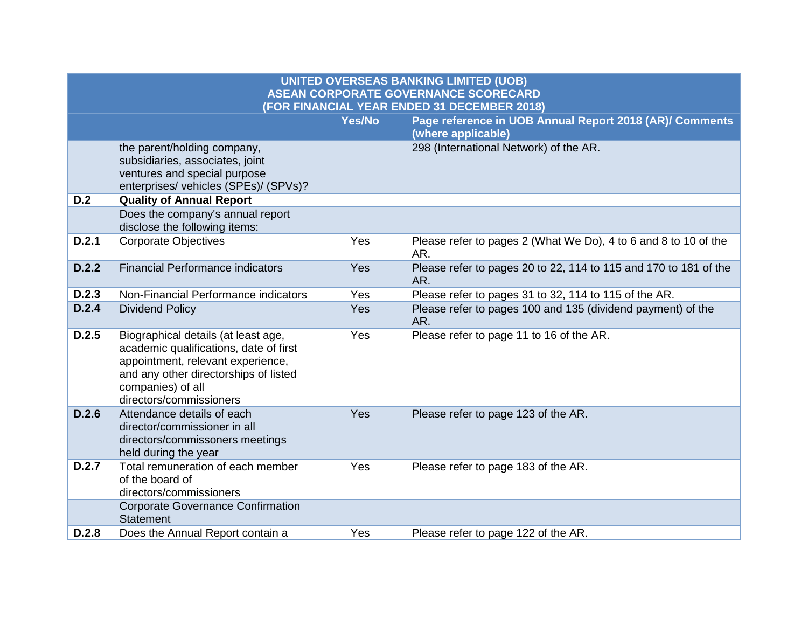|       | <b>UNITED OVERSEAS BANKING LIMITED (UOB)</b><br><b>ASEAN CORPORATE GOVERNANCE SCORECARD</b>                                                                                                                 |        |                                                                                                        |  |
|-------|-------------------------------------------------------------------------------------------------------------------------------------------------------------------------------------------------------------|--------|--------------------------------------------------------------------------------------------------------|--|
|       |                                                                                                                                                                                                             | Yes/No | (FOR FINANCIAL YEAR ENDED 31 DECEMBER 2018)<br>Page reference in UOB Annual Report 2018 (AR)/ Comments |  |
|       |                                                                                                                                                                                                             |        | (where applicable)                                                                                     |  |
|       | the parent/holding company,<br>subsidiaries, associates, joint<br>ventures and special purpose<br>enterprises/ vehicles (SPEs)/ (SPVs)?                                                                     |        | 298 (International Network) of the AR.                                                                 |  |
| D.2   | <b>Quality of Annual Report</b>                                                                                                                                                                             |        |                                                                                                        |  |
|       | Does the company's annual report<br>disclose the following items:                                                                                                                                           |        |                                                                                                        |  |
| D.2.1 | <b>Corporate Objectives</b>                                                                                                                                                                                 | Yes    | Please refer to pages 2 (What We Do), 4 to 6 and 8 to 10 of the<br>AR.                                 |  |
| D.2.2 | <b>Financial Performance indicators</b>                                                                                                                                                                     | Yes    | Please refer to pages 20 to 22, 114 to 115 and 170 to 181 of the<br>AR.                                |  |
| D.2.3 | Non-Financial Performance indicators                                                                                                                                                                        | Yes    | Please refer to pages 31 to 32, 114 to 115 of the AR.                                                  |  |
| D.2.4 | <b>Dividend Policy</b>                                                                                                                                                                                      | Yes    | Please refer to pages 100 and 135 (dividend payment) of the<br>AR.                                     |  |
| D.2.5 | Biographical details (at least age,<br>academic qualifications, date of first<br>appointment, relevant experience,<br>and any other directorships of listed<br>companies) of all<br>directors/commissioners | Yes    | Please refer to page 11 to 16 of the AR.                                                               |  |
| D.2.6 | Attendance details of each<br>director/commissioner in all<br>directors/commissoners meetings<br>held during the year                                                                                       | Yes    | Please refer to page 123 of the AR.                                                                    |  |
| D.2.7 | Total remuneration of each member<br>of the board of<br>directors/commissioners                                                                                                                             | Yes    | Please refer to page 183 of the AR.                                                                    |  |
|       | <b>Corporate Governance Confirmation</b><br><b>Statement</b>                                                                                                                                                |        |                                                                                                        |  |
| D.2.8 | Does the Annual Report contain a                                                                                                                                                                            | Yes    | Please refer to page 122 of the AR.                                                                    |  |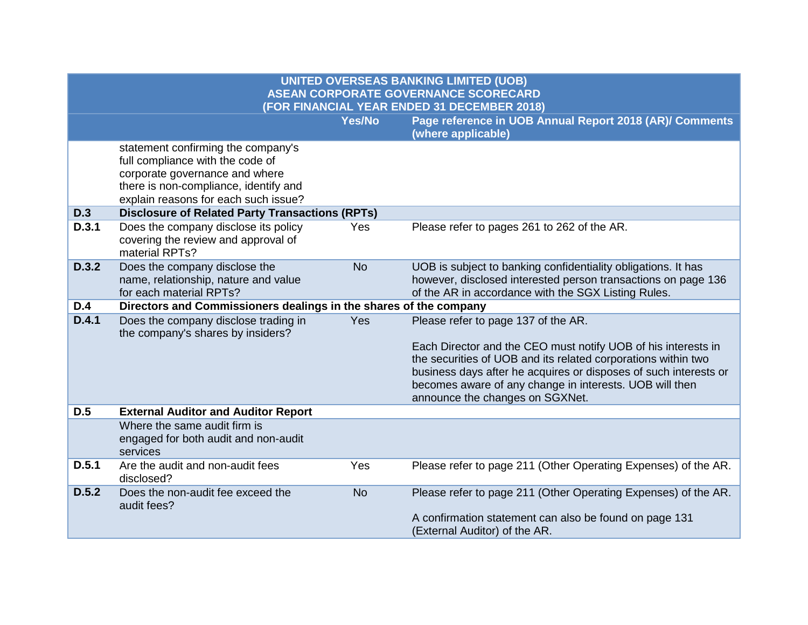| <b>UNITED OVERSEAS BANKING LIMITED (UOB)</b><br><b>ASEAN CORPORATE GOVERNANCE SCORECARD</b> |                                                                                                                                                                                           |           |                                                                                                                                                                                                                                                                                                                                         |
|---------------------------------------------------------------------------------------------|-------------------------------------------------------------------------------------------------------------------------------------------------------------------------------------------|-----------|-----------------------------------------------------------------------------------------------------------------------------------------------------------------------------------------------------------------------------------------------------------------------------------------------------------------------------------------|
|                                                                                             |                                                                                                                                                                                           | Yes/No    | (FOR FINANCIAL YEAR ENDED 31 DECEMBER 2018)<br>Page reference in UOB Annual Report 2018 (AR)/ Comments                                                                                                                                                                                                                                  |
|                                                                                             |                                                                                                                                                                                           |           | (where applicable)                                                                                                                                                                                                                                                                                                                      |
|                                                                                             | statement confirming the company's<br>full compliance with the code of<br>corporate governance and where<br>there is non-compliance, identify and<br>explain reasons for each such issue? |           |                                                                                                                                                                                                                                                                                                                                         |
| <b>D.3</b>                                                                                  | <b>Disclosure of Related Party Transactions (RPTs)</b>                                                                                                                                    |           |                                                                                                                                                                                                                                                                                                                                         |
| D.3.1                                                                                       | Does the company disclose its policy<br>covering the review and approval of<br>material RPTs?                                                                                             | Yes       | Please refer to pages 261 to 262 of the AR.                                                                                                                                                                                                                                                                                             |
| D.3.2                                                                                       | Does the company disclose the<br>name, relationship, nature and value<br>for each material RPTs?                                                                                          | <b>No</b> | UOB is subject to banking confidentiality obligations. It has<br>however, disclosed interested person transactions on page 136<br>of the AR in accordance with the SGX Listing Rules.                                                                                                                                                   |
| D.4                                                                                         | Directors and Commissioners dealings in the shares of the company                                                                                                                         |           |                                                                                                                                                                                                                                                                                                                                         |
| D.4.1                                                                                       | Does the company disclose trading in<br>the company's shares by insiders?                                                                                                                 | Yes       | Please refer to page 137 of the AR.<br>Each Director and the CEO must notify UOB of his interests in<br>the securities of UOB and its related corporations within two<br>business days after he acquires or disposes of such interests or<br>becomes aware of any change in interests. UOB will then<br>announce the changes on SGXNet. |
| D.5                                                                                         | <b>External Auditor and Auditor Report</b>                                                                                                                                                |           |                                                                                                                                                                                                                                                                                                                                         |
|                                                                                             | Where the same audit firm is<br>engaged for both audit and non-audit<br>services                                                                                                          |           |                                                                                                                                                                                                                                                                                                                                         |
| D.5.1                                                                                       | Are the audit and non-audit fees<br>disclosed?                                                                                                                                            | Yes       | Please refer to page 211 (Other Operating Expenses) of the AR.                                                                                                                                                                                                                                                                          |
| D.5.2                                                                                       | Does the non-audit fee exceed the<br>audit fees?                                                                                                                                          | <b>No</b> | Please refer to page 211 (Other Operating Expenses) of the AR.<br>A confirmation statement can also be found on page 131<br>(External Auditor) of the AR.                                                                                                                                                                               |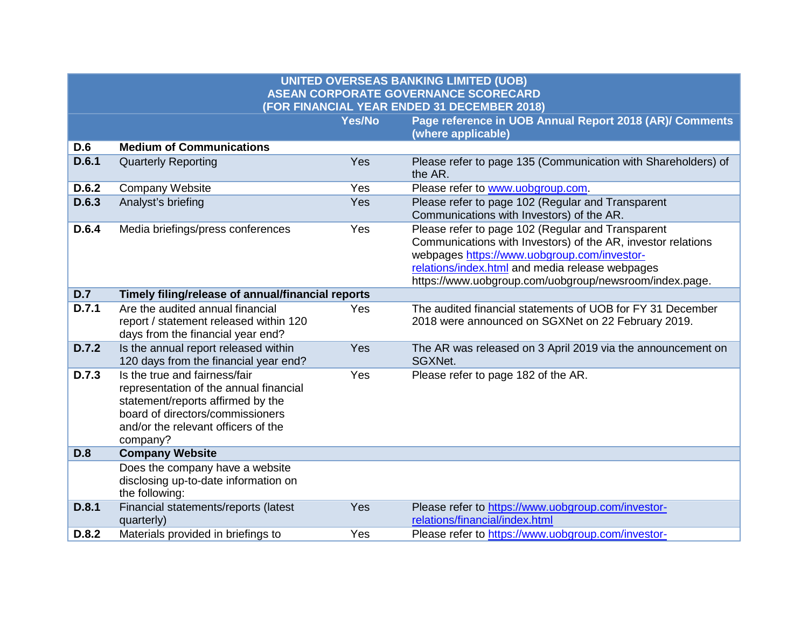|            | <b>UNITED OVERSEAS BANKING LIMITED (UOB)</b>                                                                                                                                                        |               |                                                                                                                                                                                                                                                                               |  |  |
|------------|-----------------------------------------------------------------------------------------------------------------------------------------------------------------------------------------------------|---------------|-------------------------------------------------------------------------------------------------------------------------------------------------------------------------------------------------------------------------------------------------------------------------------|--|--|
|            | <b>ASEAN CORPORATE GOVERNANCE SCORECARD</b>                                                                                                                                                         |               |                                                                                                                                                                                                                                                                               |  |  |
|            |                                                                                                                                                                                                     |               | (FOR FINANCIAL YEAR ENDED 31 DECEMBER 2018)                                                                                                                                                                                                                                   |  |  |
|            |                                                                                                                                                                                                     | <b>Yes/No</b> | Page reference in UOB Annual Report 2018 (AR)/ Comments                                                                                                                                                                                                                       |  |  |
|            |                                                                                                                                                                                                     |               | (where applicable)                                                                                                                                                                                                                                                            |  |  |
| D.6        | <b>Medium of Communications</b>                                                                                                                                                                     |               |                                                                                                                                                                                                                                                                               |  |  |
| D.6.1      | <b>Quarterly Reporting</b>                                                                                                                                                                          | Yes           | Please refer to page 135 (Communication with Shareholders) of<br>the AR.                                                                                                                                                                                                      |  |  |
| D.6.2      | <b>Company Website</b>                                                                                                                                                                              | Yes           | Please refer to www.uobgroup.com.                                                                                                                                                                                                                                             |  |  |
| D.6.3      | Analyst's briefing                                                                                                                                                                                  | Yes           | Please refer to page 102 (Regular and Transparent<br>Communications with Investors) of the AR.                                                                                                                                                                                |  |  |
| D.6.4      | Media briefings/press conferences                                                                                                                                                                   | Yes           | Please refer to page 102 (Regular and Transparent<br>Communications with Investors) of the AR, investor relations<br>webpages https://www.uobgroup.com/investor-<br>relations/index.html and media release webpages<br>https://www.uobgroup.com/uobgroup/newsroom/index.page. |  |  |
| <b>D.7</b> | Timely filing/release of annual/financial reports                                                                                                                                                   |               |                                                                                                                                                                                                                                                                               |  |  |
| D.7.1      | Are the audited annual financial<br>report / statement released within 120<br>days from the financial year end?                                                                                     | Yes           | The audited financial statements of UOB for FY 31 December<br>2018 were announced on SGXNet on 22 February 2019.                                                                                                                                                              |  |  |
| D.7.2      | Is the annual report released within<br>120 days from the financial year end?                                                                                                                       | Yes           | The AR was released on 3 April 2019 via the announcement on<br>SGXNet.                                                                                                                                                                                                        |  |  |
| D.7.3      | Is the true and fairness/fair<br>representation of the annual financial<br>statement/reports affirmed by the<br>board of directors/commissioners<br>and/or the relevant officers of the<br>company? | Yes           | Please refer to page 182 of the AR.                                                                                                                                                                                                                                           |  |  |
| D.8        | <b>Company Website</b>                                                                                                                                                                              |               |                                                                                                                                                                                                                                                                               |  |  |
|            | Does the company have a website<br>disclosing up-to-date information on<br>the following:                                                                                                           |               |                                                                                                                                                                                                                                                                               |  |  |
| D.8.1      | Financial statements/reports (latest<br>quarterly)                                                                                                                                                  | Yes           | Please refer to https://www.uobgroup.com/investor-<br>relations/financial/index.html                                                                                                                                                                                          |  |  |
| D.8.2      | Materials provided in briefings to                                                                                                                                                                  | Yes           | Please refer to https://www.uobgroup.com/investor-                                                                                                                                                                                                                            |  |  |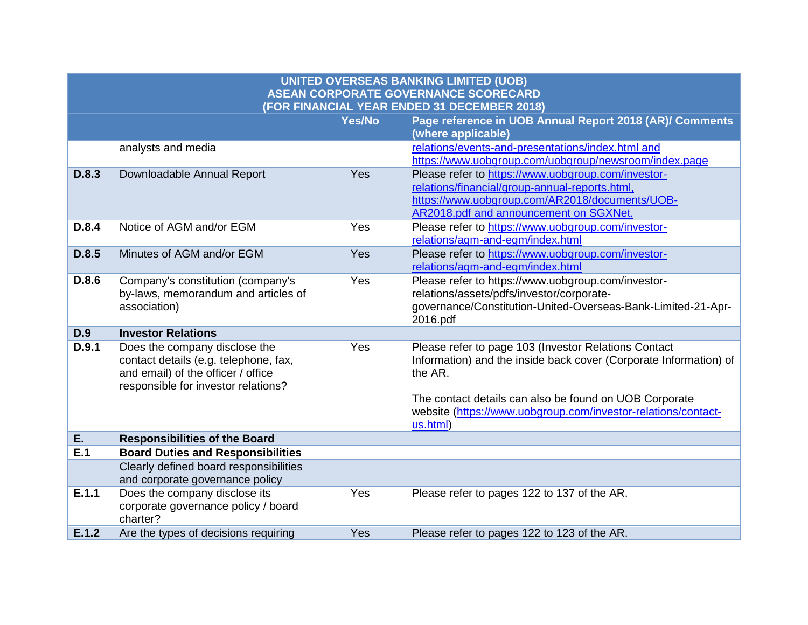| <b>UNITED OVERSEAS BANKING LIMITED (UOB)</b><br><b>ASEAN CORPORATE GOVERNANCE SCORECARD</b> |                                          |               |                                                                                        |  |
|---------------------------------------------------------------------------------------------|------------------------------------------|---------------|----------------------------------------------------------------------------------------|--|
|                                                                                             |                                          |               | (FOR FINANCIAL YEAR ENDED 31 DECEMBER 2018)                                            |  |
|                                                                                             |                                          | <b>Yes/No</b> | Page reference in UOB Annual Report 2018 (AR)/ Comments                                |  |
|                                                                                             |                                          |               | (where applicable)                                                                     |  |
|                                                                                             | analysts and media                       |               | relations/events-and-presentations/index.html and                                      |  |
|                                                                                             |                                          |               | https://www.uobgroup.com/uobgroup/newsroom/index.page                                  |  |
| D.8.3                                                                                       | Downloadable Annual Report               | Yes           | Please refer to https://www.uobgroup.com/investor-                                     |  |
|                                                                                             |                                          |               | relations/financial/group-annual-reports.html,                                         |  |
|                                                                                             |                                          |               | https://www.uobgroup.com/AR2018/documents/UOB-                                         |  |
|                                                                                             |                                          |               | AR2018.pdf and announcement on SGXNet.                                                 |  |
| D.8.4                                                                                       | Notice of AGM and/or EGM                 | Yes           | Please refer to https://www.uobgroup.com/investor-<br>relations/agm-and-egm/index.html |  |
| D.8.5                                                                                       | Minutes of AGM and/or EGM                | Yes           | Please refer to https://www.uobgroup.com/investor-                                     |  |
|                                                                                             |                                          |               | relations/agm-and-egm/index.html                                                       |  |
| D.8.6                                                                                       | Company's constitution (company's        | Yes           | Please refer to https://www.uobgroup.com/investor-                                     |  |
|                                                                                             | by-laws, memorandum and articles of      |               | relations/assets/pdfs/investor/corporate-                                              |  |
|                                                                                             | association)                             |               | governance/Constitution-United-Overseas-Bank-Limited-21-Apr-                           |  |
|                                                                                             |                                          |               | 2016.pdf                                                                               |  |
| D.9                                                                                         | <b>Investor Relations</b>                |               |                                                                                        |  |
| D.9.1                                                                                       | Does the company disclose the            | Yes           | Please refer to page 103 (Investor Relations Contact                                   |  |
|                                                                                             | contact details (e.g. telephone, fax,    |               | Information) and the inside back cover (Corporate Information) of                      |  |
|                                                                                             | and email) of the officer / office       |               | the AR.                                                                                |  |
|                                                                                             | responsible for investor relations?      |               |                                                                                        |  |
|                                                                                             |                                          |               | The contact details can also be found on UOB Corporate                                 |  |
|                                                                                             |                                          |               | website (https://www.uobgroup.com/investor-relations/contact-<br>us.html)              |  |
| E.                                                                                          | <b>Responsibilities of the Board</b>     |               |                                                                                        |  |
| E.1                                                                                         | <b>Board Duties and Responsibilities</b> |               |                                                                                        |  |
|                                                                                             | Clearly defined board responsibilities   |               |                                                                                        |  |
|                                                                                             | and corporate governance policy          |               |                                                                                        |  |
| E.1.1                                                                                       | Does the company disclose its            | Yes           | Please refer to pages 122 to 137 of the AR.                                            |  |
|                                                                                             | corporate governance policy / board      |               |                                                                                        |  |
|                                                                                             | charter?                                 |               |                                                                                        |  |
| E.1.2                                                                                       | Are the types of decisions requiring     | Yes           | Please refer to pages 122 to 123 of the AR.                                            |  |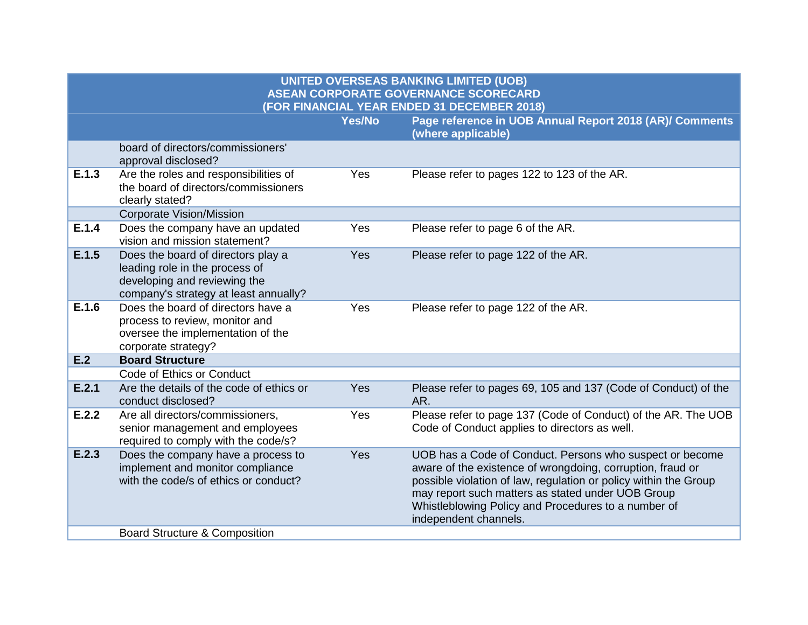|       | UNITED OVERSEAS BANKING LIMITED (UOB)<br><b>ASEAN CORPORATE GOVERNANCE SCORECARD</b><br>(FOR FINANCIAL YEAR ENDED 31 DECEMBER 2018)           |        |                                                                                                                                                                                                                                                                                                                                 |  |  |
|-------|-----------------------------------------------------------------------------------------------------------------------------------------------|--------|---------------------------------------------------------------------------------------------------------------------------------------------------------------------------------------------------------------------------------------------------------------------------------------------------------------------------------|--|--|
|       |                                                                                                                                               | Yes/No | Page reference in UOB Annual Report 2018 (AR)/ Comments<br>(where applicable)                                                                                                                                                                                                                                                   |  |  |
|       | board of directors/commissioners'<br>approval disclosed?                                                                                      |        |                                                                                                                                                                                                                                                                                                                                 |  |  |
| E.1.3 | Are the roles and responsibilities of<br>the board of directors/commissioners<br>clearly stated?                                              | Yes    | Please refer to pages 122 to 123 of the AR.                                                                                                                                                                                                                                                                                     |  |  |
|       | <b>Corporate Vision/Mission</b>                                                                                                               |        |                                                                                                                                                                                                                                                                                                                                 |  |  |
| E.1.4 | Does the company have an updated<br>vision and mission statement?                                                                             | Yes    | Please refer to page 6 of the AR.                                                                                                                                                                                                                                                                                               |  |  |
| E.1.5 | Does the board of directors play a<br>leading role in the process of<br>developing and reviewing the<br>company's strategy at least annually? | Yes    | Please refer to page 122 of the AR.                                                                                                                                                                                                                                                                                             |  |  |
| E.1.6 | Does the board of directors have a<br>process to review, monitor and<br>oversee the implementation of the<br>corporate strategy?              | Yes    | Please refer to page 122 of the AR.                                                                                                                                                                                                                                                                                             |  |  |
| E.2   | <b>Board Structure</b>                                                                                                                        |        |                                                                                                                                                                                                                                                                                                                                 |  |  |
|       | Code of Ethics or Conduct                                                                                                                     |        |                                                                                                                                                                                                                                                                                                                                 |  |  |
| E.2.1 | Are the details of the code of ethics or<br>conduct disclosed?                                                                                | Yes    | Please refer to pages 69, 105 and 137 (Code of Conduct) of the<br>AR.                                                                                                                                                                                                                                                           |  |  |
| E.2.2 | Are all directors/commissioners,<br>senior management and employees<br>required to comply with the code/s?                                    | Yes    | Please refer to page 137 (Code of Conduct) of the AR. The UOB<br>Code of Conduct applies to directors as well.                                                                                                                                                                                                                  |  |  |
| E.2.3 | Does the company have a process to<br>implement and monitor compliance<br>with the code/s of ethics or conduct?                               | Yes    | UOB has a Code of Conduct. Persons who suspect or become<br>aware of the existence of wrongdoing, corruption, fraud or<br>possible violation of law, regulation or policy within the Group<br>may report such matters as stated under UOB Group<br>Whistleblowing Policy and Procedures to a number of<br>independent channels. |  |  |
|       | <b>Board Structure &amp; Composition</b>                                                                                                      |        |                                                                                                                                                                                                                                                                                                                                 |  |  |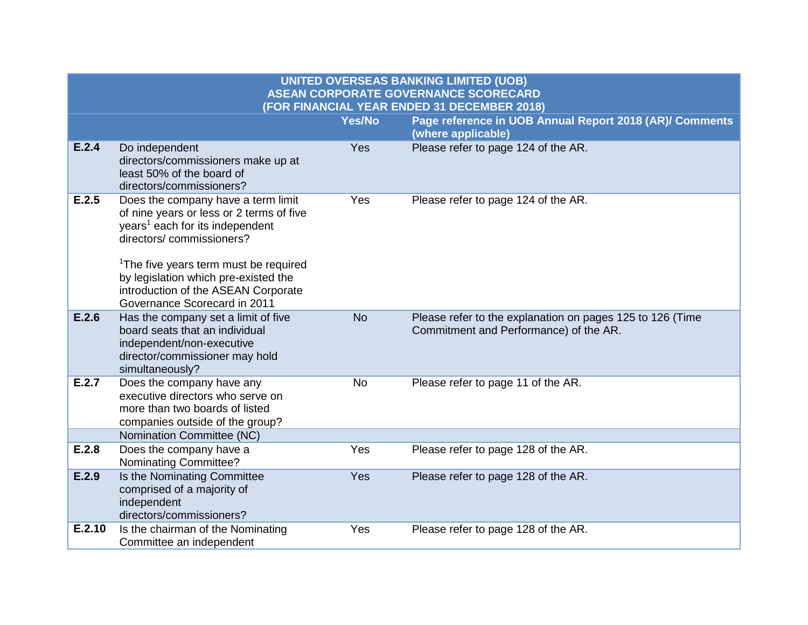|        | <b>UNITED OVERSEAS BANKING LIMITED (UOB)</b><br><b>ASEAN CORPORATE GOVERNANCE SCORECARD</b><br>(FOR FINANCIAL YEAR ENDED 31 DECEMBER 2018)                                                                                                                                                                                    |           |                                                                                                     |  |  |
|--------|-------------------------------------------------------------------------------------------------------------------------------------------------------------------------------------------------------------------------------------------------------------------------------------------------------------------------------|-----------|-----------------------------------------------------------------------------------------------------|--|--|
|        |                                                                                                                                                                                                                                                                                                                               | Yes/No    | Page reference in UOB Annual Report 2018 (AR)/ Comments<br>(where applicable)                       |  |  |
| E.2.4  | Do independent<br>directors/commissioners make up at<br>least 50% of the board of<br>directors/commissioners?                                                                                                                                                                                                                 | Yes       | Please refer to page 124 of the AR.                                                                 |  |  |
| E.2.5  | Does the company have a term limit<br>of nine years or less or 2 terms of five<br>years <sup>1</sup> each for its independent<br>directors/commissioners?<br><sup>1</sup> The five years term must be required<br>by legislation which pre-existed the<br>introduction of the ASEAN Corporate<br>Governance Scorecard in 2011 | Yes       | Please refer to page 124 of the AR.                                                                 |  |  |
| E.2.6  | Has the company set a limit of five<br>board seats that an individual<br>independent/non-executive<br>director/commissioner may hold<br>simultaneously?                                                                                                                                                                       | <b>No</b> | Please refer to the explanation on pages 125 to 126 (Time<br>Commitment and Performance) of the AR. |  |  |
| E.2.7  | Does the company have any<br>executive directors who serve on<br>more than two boards of listed<br>companies outside of the group?                                                                                                                                                                                            | <b>No</b> | Please refer to page 11 of the AR.                                                                  |  |  |
|        | Nomination Committee (NC)                                                                                                                                                                                                                                                                                                     |           |                                                                                                     |  |  |
| E.2.8  | Does the company have a<br><b>Nominating Committee?</b>                                                                                                                                                                                                                                                                       | Yes       | Please refer to page 128 of the AR.                                                                 |  |  |
| E.2.9  | Is the Nominating Committee<br>comprised of a majority of<br>independent<br>directors/commissioners?                                                                                                                                                                                                                          | Yes       | Please refer to page 128 of the AR.                                                                 |  |  |
| E.2.10 | Is the chairman of the Nominating<br>Committee an independent                                                                                                                                                                                                                                                                 | Yes       | Please refer to page 128 of the AR.                                                                 |  |  |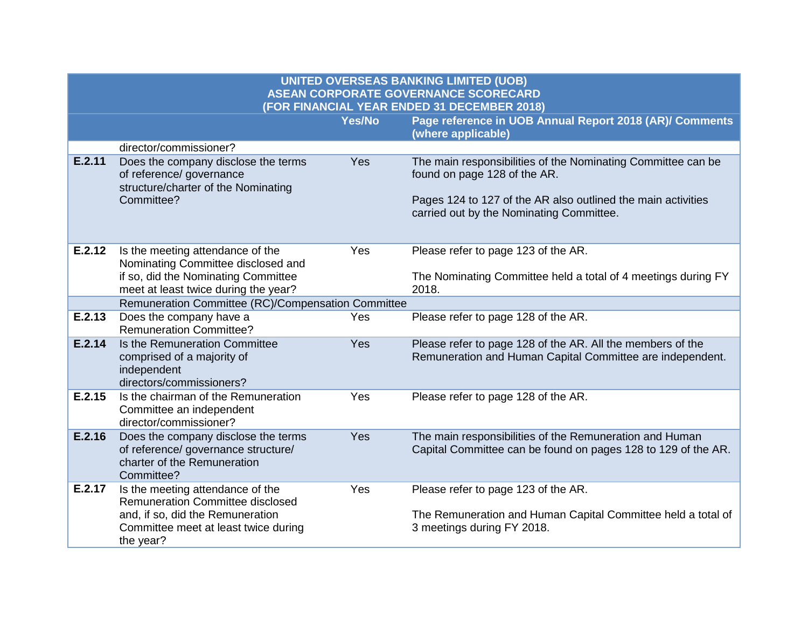|        | <b>UNITED OVERSEAS BANKING LIMITED (UOB)</b><br><b>ASEAN CORPORATE GOVERNANCE SCORECARD</b><br>(FOR FINANCIAL YEAR ENDED 31 DECEMBER 2018)              |        |                                                                                                                                                              |  |
|--------|---------------------------------------------------------------------------------------------------------------------------------------------------------|--------|--------------------------------------------------------------------------------------------------------------------------------------------------------------|--|
|        |                                                                                                                                                         | Yes/No | Page reference in UOB Annual Report 2018 (AR)/ Comments<br>(where applicable)                                                                                |  |
|        | director/commissioner?                                                                                                                                  |        |                                                                                                                                                              |  |
| E.2.11 | Does the company disclose the terms<br>of reference/ governance<br>structure/charter of the Nominating<br>Committee?                                    | Yes    | The main responsibilities of the Nominating Committee can be<br>found on page 128 of the AR.<br>Pages 124 to 127 of the AR also outlined the main activities |  |
|        |                                                                                                                                                         |        | carried out by the Nominating Committee.                                                                                                                     |  |
| E.2.12 | Is the meeting attendance of the<br>Nominating Committee disclosed and                                                                                  | Yes    | Please refer to page 123 of the AR.                                                                                                                          |  |
|        | if so, did the Nominating Committee<br>meet at least twice during the year?                                                                             |        | The Nominating Committee held a total of 4 meetings during FY<br>2018.                                                                                       |  |
|        | Remuneration Committee (RC)/Compensation Committee                                                                                                      |        |                                                                                                                                                              |  |
| E.2.13 | Does the company have a<br><b>Remuneration Committee?</b>                                                                                               | Yes    | Please refer to page 128 of the AR.                                                                                                                          |  |
| E.2.14 | Is the Remuneration Committee<br>comprised of a majority of<br>independent<br>directors/commissioners?                                                  | Yes    | Please refer to page 128 of the AR. All the members of the<br>Remuneration and Human Capital Committee are independent.                                      |  |
| E.2.15 | Is the chairman of the Remuneration<br>Committee an independent<br>director/commissioner?                                                               | Yes    | Please refer to page 128 of the AR.                                                                                                                          |  |
| E.2.16 | Does the company disclose the terms<br>of reference/ governance structure/<br>charter of the Remuneration<br>Committee?                                 | Yes    | The main responsibilities of the Remuneration and Human<br>Capital Committee can be found on pages 128 to 129 of the AR.                                     |  |
| E.2.17 | Is the meeting attendance of the<br><b>Remuneration Committee disclosed</b><br>and, if so, did the Remuneration<br>Committee meet at least twice during | Yes    | Please refer to page 123 of the AR.<br>The Remuneration and Human Capital Committee held a total of<br>3 meetings during FY 2018.                            |  |
|        | the year?                                                                                                                                               |        |                                                                                                                                                              |  |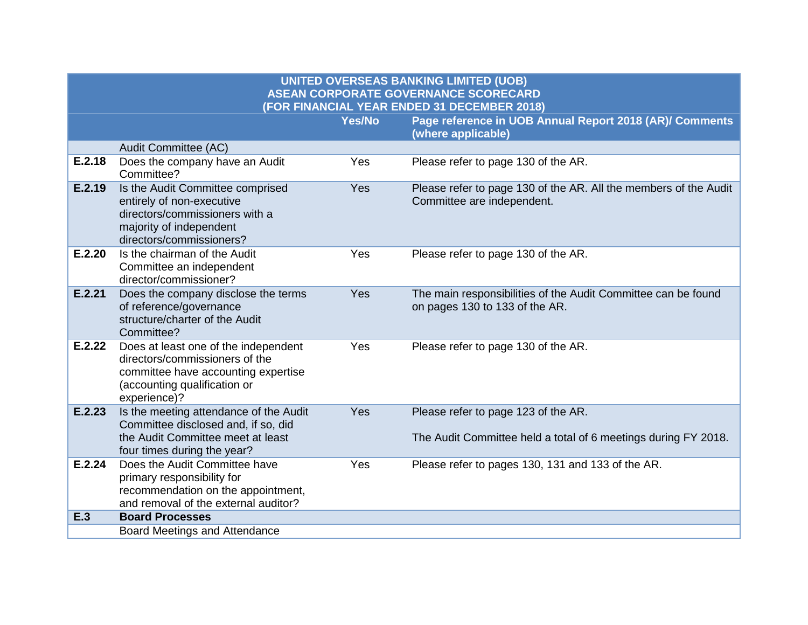|        | <b>UNITED OVERSEAS BANKING LIMITED (UOB)</b><br><b>ASEAN CORPORATE GOVERNANCE SCORECARD</b>                                                                   |        |                                                                                                       |  |
|--------|---------------------------------------------------------------------------------------------------------------------------------------------------------------|--------|-------------------------------------------------------------------------------------------------------|--|
|        |                                                                                                                                                               |        | (FOR FINANCIAL YEAR ENDED 31 DECEMBER 2018)                                                           |  |
|        |                                                                                                                                                               | Yes/No | Page reference in UOB Annual Report 2018 (AR)/ Comments<br>(where applicable)                         |  |
|        | Audit Committee (AC)                                                                                                                                          |        |                                                                                                       |  |
| E.2.18 | Does the company have an Audit<br>Committee?                                                                                                                  | Yes    | Please refer to page 130 of the AR.                                                                   |  |
| E.2.19 | Is the Audit Committee comprised<br>entirely of non-executive<br>directors/commissioners with a<br>majority of independent<br>directors/commissioners?        | Yes    | Please refer to page 130 of the AR. All the members of the Audit<br>Committee are independent.        |  |
| E.2.20 | Is the chairman of the Audit<br>Committee an independent<br>director/commissioner?                                                                            | Yes    | Please refer to page 130 of the AR.                                                                   |  |
| E.2.21 | Does the company disclose the terms<br>of reference/governance<br>structure/charter of the Audit<br>Committee?                                                | Yes    | The main responsibilities of the Audit Committee can be found<br>on pages 130 to 133 of the AR.       |  |
| E.2.22 | Does at least one of the independent<br>directors/commissioners of the<br>committee have accounting expertise<br>(accounting qualification or<br>experience)? | Yes    | Please refer to page 130 of the AR.                                                                   |  |
| E.2.23 | Is the meeting attendance of the Audit<br>Committee disclosed and, if so, did<br>the Audit Committee meet at least                                            | Yes    | Please refer to page 123 of the AR.<br>The Audit Committee held a total of 6 meetings during FY 2018. |  |
| E.2.24 | four times during the year?<br>Does the Audit Committee have<br>primary responsibility for<br>recommendation on the appointment,                              | Yes    | Please refer to pages 130, 131 and 133 of the AR.                                                     |  |
|        | and removal of the external auditor?                                                                                                                          |        |                                                                                                       |  |
| E.3    | <b>Board Processes</b>                                                                                                                                        |        |                                                                                                       |  |
|        | <b>Board Meetings and Attendance</b>                                                                                                                          |        |                                                                                                       |  |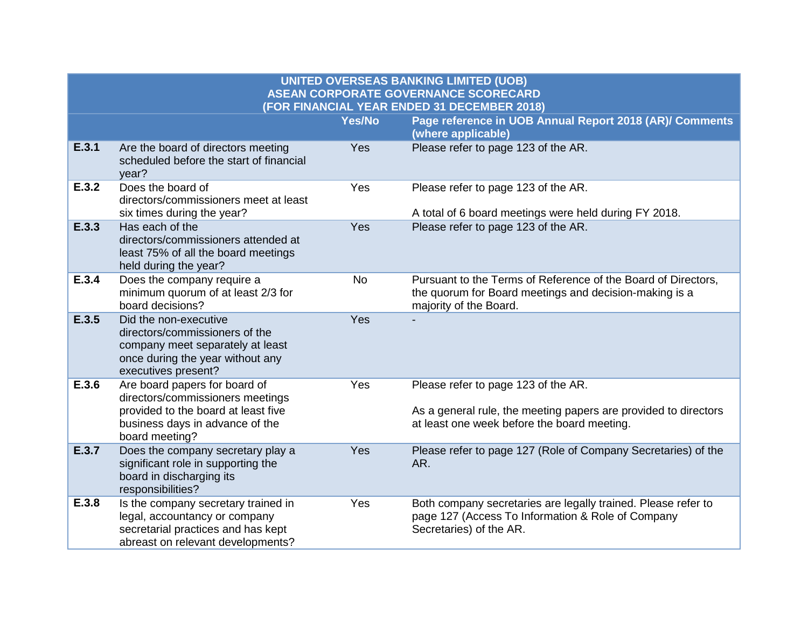## **UNITED OVERSEAS BANKING LIMITED (UOB) ASEAN CORPORATE GOVERNANCE SCORECARD (FOR FINANCIAL YEAR ENDED 31 DECEMBER 2018)**

|       |                                                                                                                                                               | <b>Yes/No</b> | Page reference in UOB Annual Report 2018 (AR)/ Comments<br>(where applicable)                                                                         |
|-------|---------------------------------------------------------------------------------------------------------------------------------------------------------------|---------------|-------------------------------------------------------------------------------------------------------------------------------------------------------|
| E.3.1 | Are the board of directors meeting<br>scheduled before the start of financial<br>year?                                                                        | Yes           | Please refer to page 123 of the AR.                                                                                                                   |
| E.3.2 | Does the board of<br>directors/commissioners meet at least<br>six times during the year?                                                                      | Yes           | Please refer to page 123 of the AR.<br>A total of 6 board meetings were held during FY 2018.                                                          |
| E.3.3 | Has each of the<br>directors/commissioners attended at<br>least 75% of all the board meetings<br>held during the year?                                        | <b>Yes</b>    | Please refer to page 123 of the AR.                                                                                                                   |
| E.3.4 | Does the company require a<br>minimum quorum of at least 2/3 for<br>board decisions?                                                                          | <b>No</b>     | Pursuant to the Terms of Reference of the Board of Directors,<br>the quorum for Board meetings and decision-making is a<br>majority of the Board.     |
| E.3.5 | Did the non-executive<br>directors/commissioners of the<br>company meet separately at least<br>once during the year without any<br>executives present?        | Yes           |                                                                                                                                                       |
| E.3.6 | Are board papers for board of<br>directors/commissioners meetings<br>provided to the board at least five<br>business days in advance of the<br>board meeting? | Yes           | Please refer to page 123 of the AR.<br>As a general rule, the meeting papers are provided to directors<br>at least one week before the board meeting. |
| E.3.7 | Does the company secretary play a<br>significant role in supporting the<br>board in discharging its<br>responsibilities?                                      | Yes           | Please refer to page 127 (Role of Company Secretaries) of the<br>AR.                                                                                  |
| E.3.8 | Is the company secretary trained in<br>legal, accountancy or company<br>secretarial practices and has kept<br>abreast on relevant developments?               | Yes           | Both company secretaries are legally trained. Please refer to<br>page 127 (Access To Information & Role of Company<br>Secretaries) of the AR.         |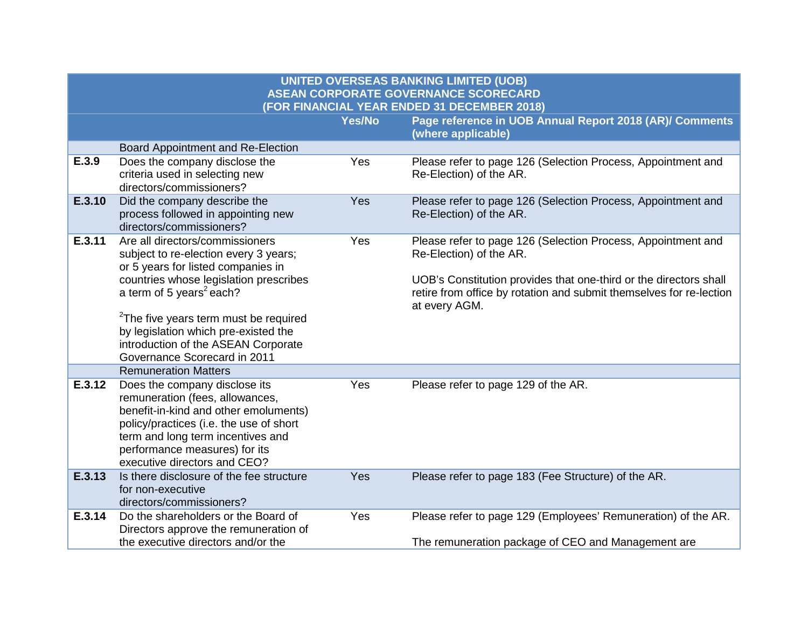|        | <b>UNITED OVERSEAS BANKING LIMITED (UOB)</b>                                                                                                                                                                                                               |        |                                                                                                                                                           |  |  |
|--------|------------------------------------------------------------------------------------------------------------------------------------------------------------------------------------------------------------------------------------------------------------|--------|-----------------------------------------------------------------------------------------------------------------------------------------------------------|--|--|
|        |                                                                                                                                                                                                                                                            |        | <b>ASEAN CORPORATE GOVERNANCE SCORECARD</b>                                                                                                               |  |  |
|        |                                                                                                                                                                                                                                                            | Yes/No | (FOR FINANCIAL YEAR ENDED 31 DECEMBER 2018)<br>Page reference in UOB Annual Report 2018 (AR)/ Comments                                                    |  |  |
|        |                                                                                                                                                                                                                                                            |        | (where applicable)                                                                                                                                        |  |  |
|        | Board Appointment and Re-Election                                                                                                                                                                                                                          |        |                                                                                                                                                           |  |  |
| E.3.9  | Does the company disclose the<br>criteria used in selecting new<br>directors/commissioners?                                                                                                                                                                | Yes    | Please refer to page 126 (Selection Process, Appointment and<br>Re-Election) of the AR.                                                                   |  |  |
| E.3.10 | Did the company describe the<br>process followed in appointing new<br>directors/commissioners?                                                                                                                                                             | Yes    | Please refer to page 126 (Selection Process, Appointment and<br>Re-Election) of the AR.                                                                   |  |  |
| E.3.11 | Are all directors/commissioners<br>subject to re-election every 3 years;<br>or 5 years for listed companies in                                                                                                                                             | Yes    | Please refer to page 126 (Selection Process, Appointment and<br>Re-Election) of the AR.                                                                   |  |  |
|        | countries whose legislation prescribes<br>a term of 5 years <sup>2</sup> each?                                                                                                                                                                             |        | UOB's Constitution provides that one-third or the directors shall<br>retire from office by rotation and submit themselves for re-lection<br>at every AGM. |  |  |
|        | <sup>2</sup> The five years term must be required<br>by legislation which pre-existed the<br>introduction of the ASEAN Corporate<br>Governance Scorecard in 2011                                                                                           |        |                                                                                                                                                           |  |  |
|        | <b>Remuneration Matters</b>                                                                                                                                                                                                                                |        |                                                                                                                                                           |  |  |
| E.3.12 | Does the company disclose its<br>remuneration (fees, allowances,<br>benefit-in-kind and other emoluments)<br>policy/practices (i.e. the use of short<br>term and long term incentives and<br>performance measures) for its<br>executive directors and CEO? | Yes    | Please refer to page 129 of the AR.                                                                                                                       |  |  |
| E.3.13 | Is there disclosure of the fee structure<br>for non-executive<br>directors/commissioners?                                                                                                                                                                  | Yes    | Please refer to page 183 (Fee Structure) of the AR.                                                                                                       |  |  |
| E.3.14 | Do the shareholders or the Board of<br>Directors approve the remuneration of                                                                                                                                                                               | Yes    | Please refer to page 129 (Employees' Remuneration) of the AR.                                                                                             |  |  |
|        | the executive directors and/or the                                                                                                                                                                                                                         |        | The remuneration package of CEO and Management are                                                                                                        |  |  |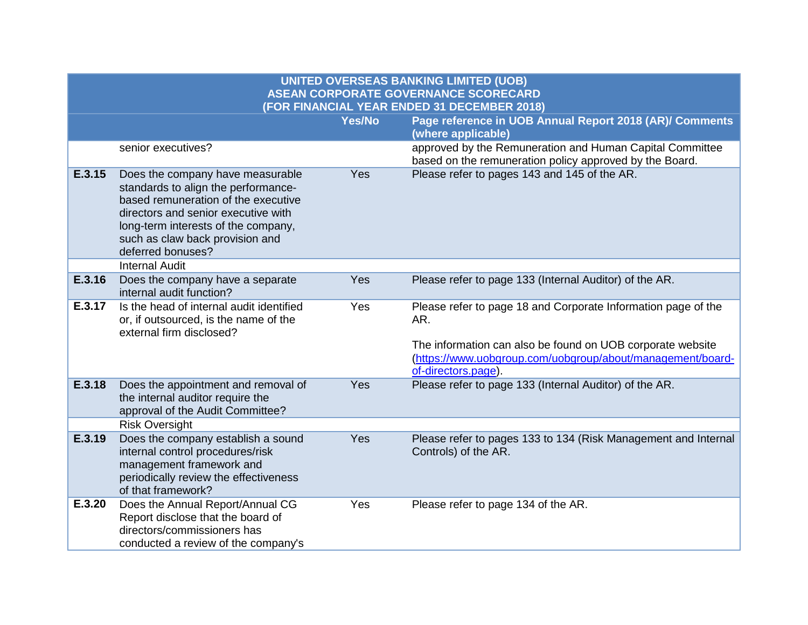|        | <b>UNITED OVERSEAS BANKING LIMITED (UOB)</b><br><b>ASEAN CORPORATE GOVERNANCE SCORECARD</b><br>(FOR FINANCIAL YEAR ENDED 31 DECEMBER 2018)                                                                                                           |               |                                                                                                                                                                                                                         |  |
|--------|------------------------------------------------------------------------------------------------------------------------------------------------------------------------------------------------------------------------------------------------------|---------------|-------------------------------------------------------------------------------------------------------------------------------------------------------------------------------------------------------------------------|--|
|        |                                                                                                                                                                                                                                                      | <b>Yes/No</b> | Page reference in UOB Annual Report 2018 (AR)/ Comments<br>(where applicable)                                                                                                                                           |  |
|        | senior executives?                                                                                                                                                                                                                                   |               | approved by the Remuneration and Human Capital Committee<br>based on the remuneration policy approved by the Board.                                                                                                     |  |
| E.3.15 | Does the company have measurable<br>standards to align the performance-<br>based remuneration of the executive<br>directors and senior executive with<br>long-term interests of the company,<br>such as claw back provision and<br>deferred bonuses? | Yes           | Please refer to pages 143 and 145 of the AR.                                                                                                                                                                            |  |
|        | <b>Internal Audit</b>                                                                                                                                                                                                                                |               |                                                                                                                                                                                                                         |  |
| E.3.16 | Does the company have a separate<br>internal audit function?                                                                                                                                                                                         | Yes           | Please refer to page 133 (Internal Auditor) of the AR.                                                                                                                                                                  |  |
| E.3.17 | Is the head of internal audit identified<br>or, if outsourced, is the name of the<br>external firm disclosed?                                                                                                                                        | Yes           | Please refer to page 18 and Corporate Information page of the<br>AR.<br>The information can also be found on UOB corporate website<br>(https://www.uobgroup.com/uobgroup/about/management/board-<br>of-directors.page). |  |
| E.3.18 | Does the appointment and removal of<br>the internal auditor require the<br>approval of the Audit Committee?                                                                                                                                          | Yes           | Please refer to page 133 (Internal Auditor) of the AR.                                                                                                                                                                  |  |
|        | <b>Risk Oversight</b>                                                                                                                                                                                                                                |               |                                                                                                                                                                                                                         |  |
| E.3.19 | Does the company establish a sound<br>internal control procedures/risk<br>management framework and<br>periodically review the effectiveness<br>of that framework?                                                                                    | Yes           | Please refer to pages 133 to 134 (Risk Management and Internal<br>Controls) of the AR.                                                                                                                                  |  |
| E.3.20 | Does the Annual Report/Annual CG<br>Report disclose that the board of<br>directors/commissioners has<br>conducted a review of the company's                                                                                                          | Yes           | Please refer to page 134 of the AR.                                                                                                                                                                                     |  |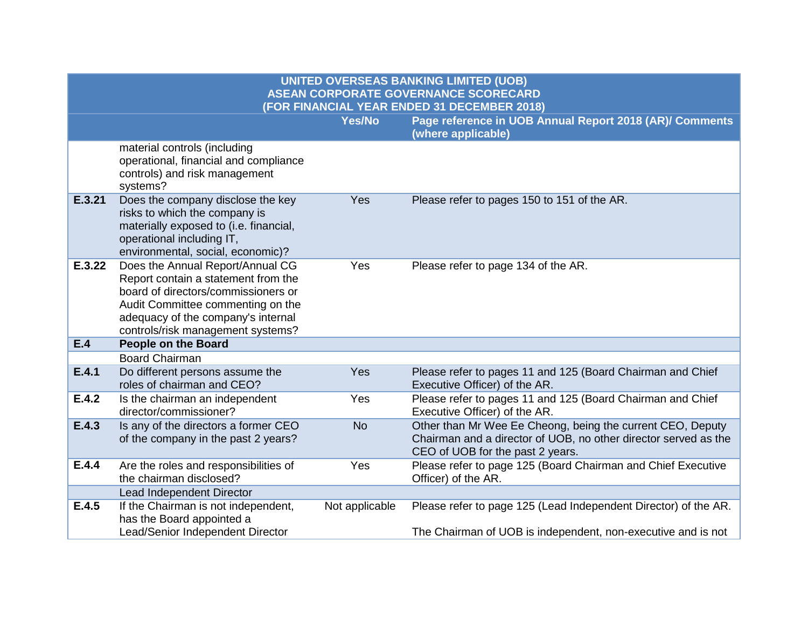|                                                                                                                  | <b>UNITED OVERSEAS BANKING LIMITED (UOB)</b><br><b>ASEAN CORPORATE GOVERNANCE SCORECARD</b>                                                                                                                                    |                |                                                                                                                                                                   |  |
|------------------------------------------------------------------------------------------------------------------|--------------------------------------------------------------------------------------------------------------------------------------------------------------------------------------------------------------------------------|----------------|-------------------------------------------------------------------------------------------------------------------------------------------------------------------|--|
| (FOR FINANCIAL YEAR ENDED 31 DECEMBER 2018)<br>Yes/No<br>Page reference in UOB Annual Report 2018 (AR)/ Comments |                                                                                                                                                                                                                                |                |                                                                                                                                                                   |  |
|                                                                                                                  |                                                                                                                                                                                                                                |                | (where applicable)                                                                                                                                                |  |
|                                                                                                                  | material controls (including<br>operational, financial and compliance<br>controls) and risk management<br>systems?                                                                                                             |                |                                                                                                                                                                   |  |
| E.3.21                                                                                                           | Does the company disclose the key<br>risks to which the company is<br>materially exposed to (i.e. financial,<br>operational including IT,<br>environmental, social, economic)?                                                 | Yes            | Please refer to pages 150 to 151 of the AR.                                                                                                                       |  |
| E.3.22                                                                                                           | Does the Annual Report/Annual CG<br>Report contain a statement from the<br>board of directors/commissioners or<br>Audit Committee commenting on the<br>adequacy of the company's internal<br>controls/risk management systems? | Yes            | Please refer to page 134 of the AR.                                                                                                                               |  |
| E.4                                                                                                              | <b>People on the Board</b>                                                                                                                                                                                                     |                |                                                                                                                                                                   |  |
|                                                                                                                  | <b>Board Chairman</b>                                                                                                                                                                                                          |                |                                                                                                                                                                   |  |
| E.4.1                                                                                                            | Do different persons assume the<br>roles of chairman and CEO?                                                                                                                                                                  | Yes            | Please refer to pages 11 and 125 (Board Chairman and Chief<br>Executive Officer) of the AR.                                                                       |  |
| E.4.2                                                                                                            | Is the chairman an independent<br>director/commissioner?                                                                                                                                                                       | Yes            | Please refer to pages 11 and 125 (Board Chairman and Chief<br>Executive Officer) of the AR.                                                                       |  |
| E.4.3                                                                                                            | Is any of the directors a former CEO<br>of the company in the past 2 years?                                                                                                                                                    | <b>No</b>      | Other than Mr Wee Ee Cheong, being the current CEO, Deputy<br>Chairman and a director of UOB, no other director served as the<br>CEO of UOB for the past 2 years. |  |
| E.4.4                                                                                                            | Are the roles and responsibilities of<br>the chairman disclosed?                                                                                                                                                               | Yes            | Please refer to page 125 (Board Chairman and Chief Executive<br>Officer) of the AR.                                                                               |  |
|                                                                                                                  | Lead Independent Director                                                                                                                                                                                                      |                |                                                                                                                                                                   |  |
| E.4.5                                                                                                            | If the Chairman is not independent,<br>has the Board appointed a<br>Lead/Senior Independent Director                                                                                                                           | Not applicable | Please refer to page 125 (Lead Independent Director) of the AR.<br>The Chairman of UOB is independent, non-executive and is not                                   |  |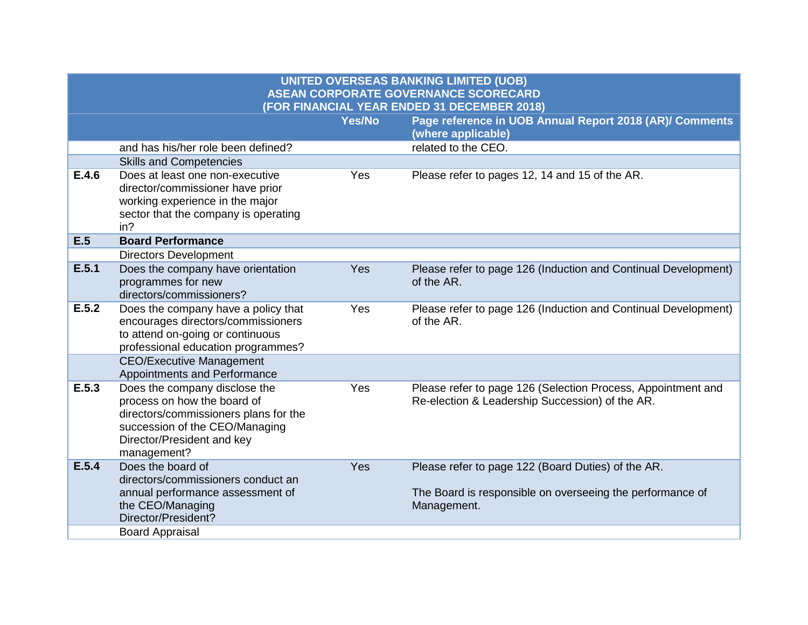|       | <b>UNITED OVERSEAS BANKING LIMITED (UOB)</b>                                                                                                                                         |        |                                                                                                                                |  |  |
|-------|--------------------------------------------------------------------------------------------------------------------------------------------------------------------------------------|--------|--------------------------------------------------------------------------------------------------------------------------------|--|--|
|       | <b>ASEAN CORPORATE GOVERNANCE SCORECARD</b><br>(FOR FINANCIAL YEAR ENDED 31 DECEMBER 2018)                                                                                           |        |                                                                                                                                |  |  |
|       |                                                                                                                                                                                      | Yes/No | Page reference in UOB Annual Report 2018 (AR)/ Comments                                                                        |  |  |
|       |                                                                                                                                                                                      |        | (where applicable)                                                                                                             |  |  |
|       | and has his/her role been defined?                                                                                                                                                   |        | related to the CEO.                                                                                                            |  |  |
|       | <b>Skills and Competencies</b>                                                                                                                                                       |        |                                                                                                                                |  |  |
| E.4.6 | Does at least one non-executive<br>director/commissioner have prior<br>working experience in the major<br>sector that the company is operating<br>in?                                | Yes    | Please refer to pages 12, 14 and 15 of the AR.                                                                                 |  |  |
| E.5   | <b>Board Performance</b>                                                                                                                                                             |        |                                                                                                                                |  |  |
|       | <b>Directors Development</b>                                                                                                                                                         |        |                                                                                                                                |  |  |
| E.5.1 | Does the company have orientation<br>programmes for new<br>directors/commissioners?                                                                                                  | Yes    | Please refer to page 126 (Induction and Continual Development)<br>of the AR.                                                   |  |  |
| E.5.2 | Does the company have a policy that<br>encourages directors/commissioners<br>to attend on-going or continuous<br>professional education programmes?                                  | Yes    | Please refer to page 126 (Induction and Continual Development)<br>of the AR.                                                   |  |  |
|       | <b>CEO/Executive Management</b><br>Appointments and Performance                                                                                                                      |        |                                                                                                                                |  |  |
| E.5.3 | Does the company disclose the<br>process on how the board of<br>directors/commissioners plans for the<br>succession of the CEO/Managing<br>Director/President and key<br>management? | Yes    | Please refer to page 126 (Selection Process, Appointment and<br>Re-election & Leadership Succession) of the AR.                |  |  |
| E.5.4 | Does the board of<br>directors/commissioners conduct an<br>annual performance assessment of<br>the CEO/Managing<br>Director/President?<br><b>Board Appraisal</b>                     | Yes    | Please refer to page 122 (Board Duties) of the AR.<br>The Board is responsible on overseeing the performance of<br>Management. |  |  |
|       |                                                                                                                                                                                      |        |                                                                                                                                |  |  |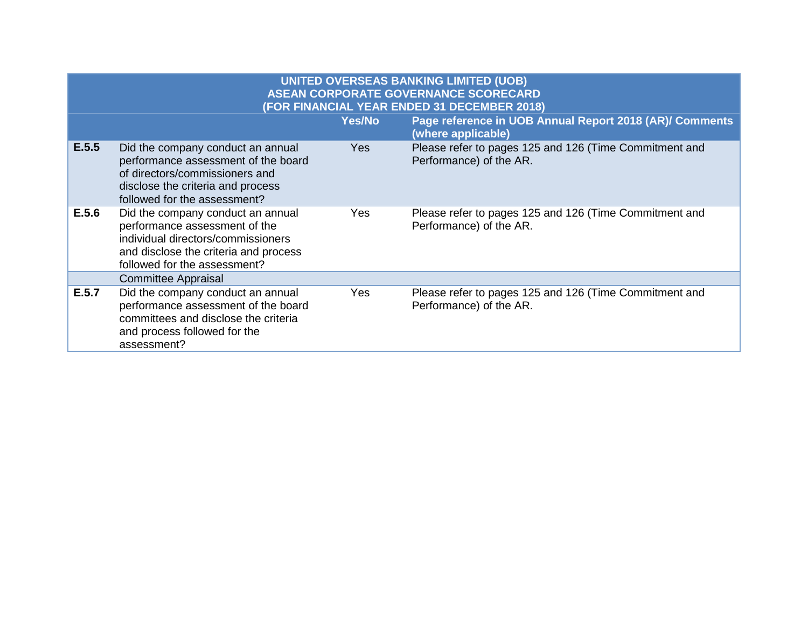|       | <b>UNITED OVERSEAS BANKING LIMITED (UOB)</b><br><b>ASEAN CORPORATE GOVERNANCE SCORECARD</b><br>(FOR FINANCIAL YEAR ENDED 31 DECEMBER 2018)                                        |            |                                                                                   |  |  |
|-------|-----------------------------------------------------------------------------------------------------------------------------------------------------------------------------------|------------|-----------------------------------------------------------------------------------|--|--|
|       |                                                                                                                                                                                   | Yes/No     | Page reference in UOB Annual Report 2018 (AR)/ Comments<br>(where applicable)     |  |  |
| E.5.5 | Did the company conduct an annual<br>performance assessment of the board<br>of directors/commissioners and<br>disclose the criteria and process<br>followed for the assessment?   | Yes        | Please refer to pages 125 and 126 (Time Commitment and<br>Performance) of the AR. |  |  |
| E.5.6 | Did the company conduct an annual<br>performance assessment of the<br>individual directors/commissioners<br>and disclose the criteria and process<br>followed for the assessment? | Yes        | Please refer to pages 125 and 126 (Time Commitment and<br>Performance) of the AR. |  |  |
|       | <b>Committee Appraisal</b>                                                                                                                                                        |            |                                                                                   |  |  |
| E.5.7 | Did the company conduct an annual<br>performance assessment of the board<br>committees and disclose the criteria<br>and process followed for the<br>assessment?                   | <b>Yes</b> | Please refer to pages 125 and 126 (Time Commitment and<br>Performance) of the AR. |  |  |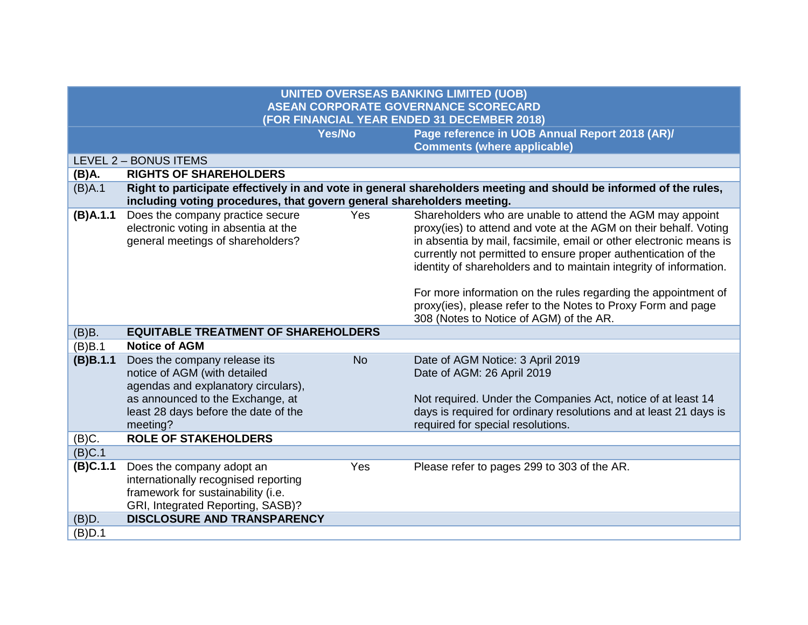| <b>UNITED OVERSEAS BANKING LIMITED (UOB)</b><br><b>ASEAN CORPORATE GOVERNANCE SCORECARD</b><br>(FOR FINANCIAL YEAR ENDED 31 DECEMBER 2018) |                                                                                                                                                                                             |               |                                                                                                                                                                                                                                                                                                                                                                                                                                                                                                                          |  |
|--------------------------------------------------------------------------------------------------------------------------------------------|---------------------------------------------------------------------------------------------------------------------------------------------------------------------------------------------|---------------|--------------------------------------------------------------------------------------------------------------------------------------------------------------------------------------------------------------------------------------------------------------------------------------------------------------------------------------------------------------------------------------------------------------------------------------------------------------------------------------------------------------------------|--|
|                                                                                                                                            |                                                                                                                                                                                             | <b>Yes/No</b> | Page reference in UOB Annual Report 2018 (AR)/<br><b>Comments (where applicable)</b>                                                                                                                                                                                                                                                                                                                                                                                                                                     |  |
|                                                                                                                                            | LEVEL 2 - BONUS ITEMS                                                                                                                                                                       |               |                                                                                                                                                                                                                                                                                                                                                                                                                                                                                                                          |  |
| (B)A.                                                                                                                                      | <b>RIGHTS OF SHAREHOLDERS</b>                                                                                                                                                               |               |                                                                                                                                                                                                                                                                                                                                                                                                                                                                                                                          |  |
| (B)A.1                                                                                                                                     | Right to participate effectively in and vote in general shareholders meeting and should be informed of the rules,<br>including voting procedures, that govern general shareholders meeting. |               |                                                                                                                                                                                                                                                                                                                                                                                                                                                                                                                          |  |
| (B)A.1.1                                                                                                                                   | Does the company practice secure<br>electronic voting in absentia at the<br>general meetings of shareholders?                                                                               | Yes           | Shareholders who are unable to attend the AGM may appoint<br>proxy(ies) to attend and vote at the AGM on their behalf. Voting<br>in absentia by mail, facsimile, email or other electronic means is<br>currently not permitted to ensure proper authentication of the<br>identity of shareholders and to maintain integrity of information.<br>For more information on the rules regarding the appointment of<br>proxy(ies), please refer to the Notes to Proxy Form and page<br>308 (Notes to Notice of AGM) of the AR. |  |
| (B)B.                                                                                                                                      | <b>EQUITABLE TREATMENT OF SHAREHOLDERS</b>                                                                                                                                                  |               |                                                                                                                                                                                                                                                                                                                                                                                                                                                                                                                          |  |
| (B)B.1                                                                                                                                     | <b>Notice of AGM</b>                                                                                                                                                                        |               |                                                                                                                                                                                                                                                                                                                                                                                                                                                                                                                          |  |
| (B)B.1.1                                                                                                                                   | Does the company release its<br>notice of AGM (with detailed<br>agendas and explanatory circulars),<br>as announced to the Exchange, at<br>least 28 days before the date of the<br>meeting? | <b>No</b>     | Date of AGM Notice: 3 April 2019<br>Date of AGM: 26 April 2019<br>Not required. Under the Companies Act, notice of at least 14<br>days is required for ordinary resolutions and at least 21 days is<br>required for special resolutions.                                                                                                                                                                                                                                                                                 |  |
| (B)C.                                                                                                                                      | <b>ROLE OF STAKEHOLDERS</b>                                                                                                                                                                 |               |                                                                                                                                                                                                                                                                                                                                                                                                                                                                                                                          |  |
| (B)C.1                                                                                                                                     |                                                                                                                                                                                             |               |                                                                                                                                                                                                                                                                                                                                                                                                                                                                                                                          |  |
| (B)C.1.1                                                                                                                                   | Does the company adopt an<br>internationally recognised reporting<br>framework for sustainability (i.e.<br>GRI, Integrated Reporting, SASB)?                                                | Yes           | Please refer to pages 299 to 303 of the AR.                                                                                                                                                                                                                                                                                                                                                                                                                                                                              |  |
| (B)D.                                                                                                                                      | <b>DISCLOSURE AND TRANSPARENCY</b>                                                                                                                                                          |               |                                                                                                                                                                                                                                                                                                                                                                                                                                                                                                                          |  |
| (B)D.1                                                                                                                                     |                                                                                                                                                                                             |               |                                                                                                                                                                                                                                                                                                                                                                                                                                                                                                                          |  |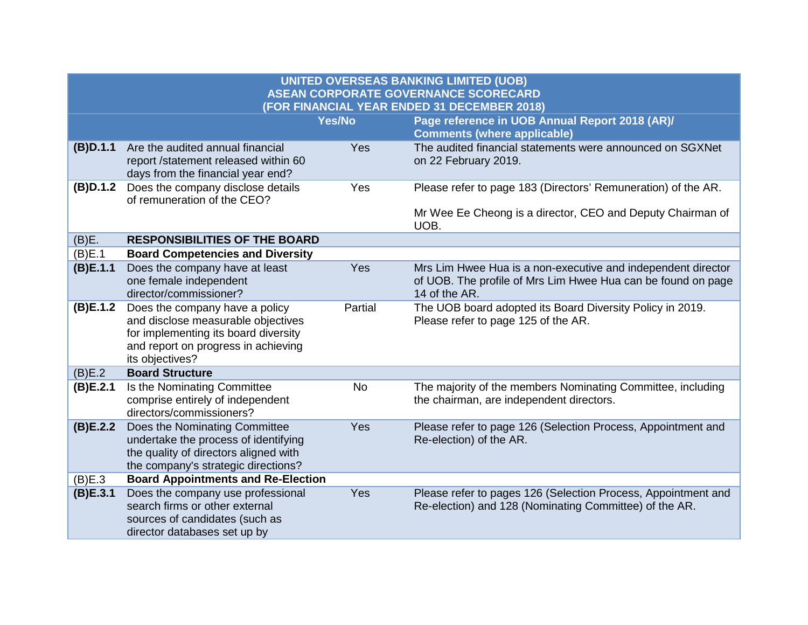| <b>UNITED OVERSEAS BANKING LIMITED (UOB)</b> |                                                                           |           |                                                                                                  |  |
|----------------------------------------------|---------------------------------------------------------------------------|-----------|--------------------------------------------------------------------------------------------------|--|
| <b>ASEAN CORPORATE GOVERNANCE SCORECARD</b>  |                                                                           |           |                                                                                                  |  |
|                                              |                                                                           |           | (FOR FINANCIAL YEAR ENDED 31 DECEMBER 2018)                                                      |  |
|                                              |                                                                           | Yes/No    | Page reference in UOB Annual Report 2018 (AR)/                                                   |  |
|                                              |                                                                           |           | <b>Comments (where applicable)</b>                                                               |  |
| (B)D.1.1                                     | Are the audited annual financial                                          | Yes       | The audited financial statements were announced on SGXNet                                        |  |
|                                              | report /statement released within 60<br>days from the financial year end? |           | on 22 February 2019.                                                                             |  |
| (B)D.1.2                                     | Does the company disclose details                                         | Yes       | Please refer to page 183 (Directors' Remuneration) of the AR.                                    |  |
|                                              | of remuneration of the CEO?                                               |           |                                                                                                  |  |
|                                              |                                                                           |           | Mr Wee Ee Cheong is a director, CEO and Deputy Chairman of                                       |  |
|                                              |                                                                           |           | UOB.                                                                                             |  |
| (B)E.                                        | <b>RESPONSIBILITIES OF THE BOARD</b>                                      |           |                                                                                                  |  |
| (B)E.1                                       | <b>Board Competencies and Diversity</b>                                   |           |                                                                                                  |  |
| (B)E.1.1                                     | Does the company have at least                                            | Yes       | Mrs Lim Hwee Hua is a non-executive and independent director                                     |  |
|                                              | one female independent                                                    |           | of UOB. The profile of Mrs Lim Hwee Hua can be found on page                                     |  |
|                                              | director/commissioner?                                                    |           | 14 of the AR.                                                                                    |  |
| (B)E.1.2                                     | Does the company have a policy<br>and disclose measurable objectives      | Partial   | The UOB board adopted its Board Diversity Policy in 2019.<br>Please refer to page 125 of the AR. |  |
|                                              | for implementing its board diversity                                      |           |                                                                                                  |  |
|                                              | and report on progress in achieving                                       |           |                                                                                                  |  |
|                                              | its objectives?                                                           |           |                                                                                                  |  |
| (B)E.2                                       | <b>Board Structure</b>                                                    |           |                                                                                                  |  |
| (B)E.2.1                                     | Is the Nominating Committee                                               | <b>No</b> | The majority of the members Nominating Committee, including                                      |  |
|                                              | comprise entirely of independent                                          |           | the chairman, are independent directors.                                                         |  |
|                                              | directors/commissioners?                                                  |           |                                                                                                  |  |
| (B)E.2.2                                     | Does the Nominating Committee<br>undertake the process of identifying     | Yes       | Please refer to page 126 (Selection Process, Appointment and<br>Re-election) of the AR.          |  |
|                                              | the quality of directors aligned with                                     |           |                                                                                                  |  |
|                                              | the company's strategic directions?                                       |           |                                                                                                  |  |
| (B)E.3                                       | <b>Board Appointments and Re-Election</b>                                 |           |                                                                                                  |  |
| (B)E.3.1                                     | Does the company use professional                                         | Yes       | Please refer to pages 126 (Selection Process, Appointment and                                    |  |
|                                              | search firms or other external                                            |           | Re-election) and 128 (Nominating Committee) of the AR.                                           |  |
|                                              | sources of candidates (such as                                            |           |                                                                                                  |  |
|                                              | director databases set up by                                              |           |                                                                                                  |  |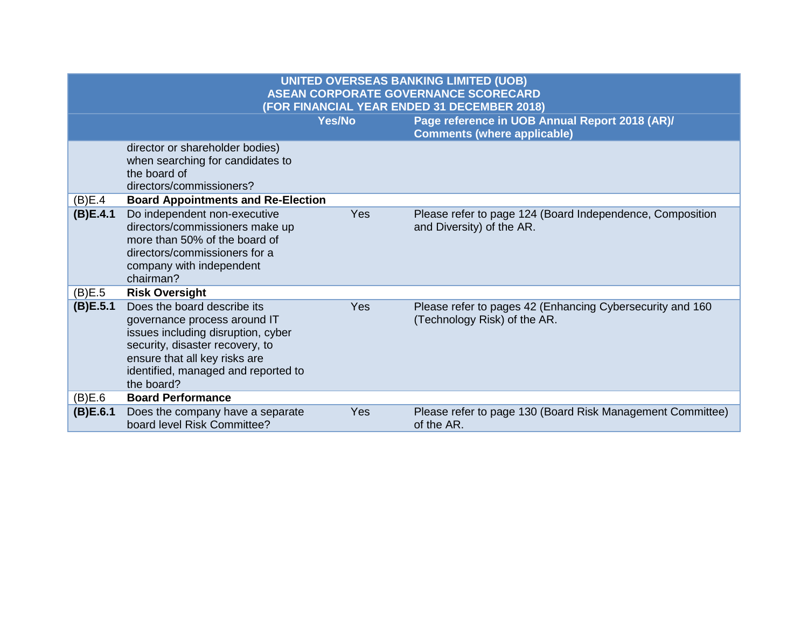| <b>UNITED OVERSEAS BANKING LIMITED (UOB)</b><br><b>ASEAN CORPORATE GOVERNANCE SCORECARD</b><br>(FOR FINANCIAL YEAR ENDED 31 DECEMBER 2018) |                                                                                                                                                                                                                            |               |                                                                                           |
|--------------------------------------------------------------------------------------------------------------------------------------------|----------------------------------------------------------------------------------------------------------------------------------------------------------------------------------------------------------------------------|---------------|-------------------------------------------------------------------------------------------|
|                                                                                                                                            |                                                                                                                                                                                                                            | <b>Yes/No</b> | Page reference in UOB Annual Report 2018 (AR)/<br><b>Comments (where applicable)</b>      |
|                                                                                                                                            | director or shareholder bodies)<br>when searching for candidates to<br>the board of<br>directors/commissioners?                                                                                                            |               |                                                                                           |
| (B)E.4                                                                                                                                     | <b>Board Appointments and Re-Election</b>                                                                                                                                                                                  |               |                                                                                           |
| (B)E.4.1                                                                                                                                   | Do independent non-executive<br>directors/commissioners make up<br>more than 50% of the board of<br>directors/commissioners for a<br>company with independent<br>chairman?                                                 | Yes           | Please refer to page 124 (Board Independence, Composition<br>and Diversity) of the AR.    |
| (B)E.5                                                                                                                                     | <b>Risk Oversight</b>                                                                                                                                                                                                      |               |                                                                                           |
| (B)E.5.1                                                                                                                                   | Does the board describe its<br>governance process around IT<br>issues including disruption, cyber<br>security, disaster recovery, to<br>ensure that all key risks are<br>identified, managed and reported to<br>the board? | Yes           | Please refer to pages 42 (Enhancing Cybersecurity and 160<br>(Technology Risk) of the AR. |
| (B)E.6                                                                                                                                     | <b>Board Performance</b>                                                                                                                                                                                                   |               |                                                                                           |
| (B)E.6.1                                                                                                                                   | Does the company have a separate<br>board level Risk Committee?                                                                                                                                                            | Yes           | Please refer to page 130 (Board Risk Management Committee)<br>of the AR.                  |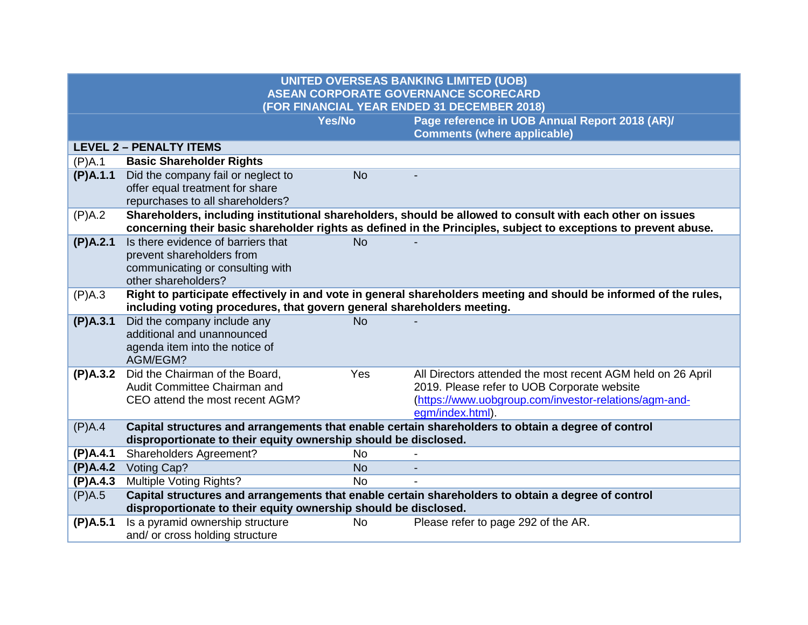| <b>UNITED OVERSEAS BANKING LIMITED (UOB)</b><br><b>ASEAN CORPORATE GOVERNANCE SCORECARD</b> |                                                                                                                                                                                                                               |               |                                                                                                                   |  |  |
|---------------------------------------------------------------------------------------------|-------------------------------------------------------------------------------------------------------------------------------------------------------------------------------------------------------------------------------|---------------|-------------------------------------------------------------------------------------------------------------------|--|--|
| (FOR FINANCIAL YEAR ENDED 31 DECEMBER 2018)                                                 |                                                                                                                                                                                                                               |               |                                                                                                                   |  |  |
|                                                                                             |                                                                                                                                                                                                                               | <b>Yes/No</b> | Page reference in UOB Annual Report 2018 (AR)/                                                                    |  |  |
|                                                                                             |                                                                                                                                                                                                                               |               | <b>Comments (where applicable)</b>                                                                                |  |  |
|                                                                                             | <b>LEVEL 2 - PENALTY ITEMS</b>                                                                                                                                                                                                |               |                                                                                                                   |  |  |
|                                                                                             |                                                                                                                                                                                                                               |               |                                                                                                                   |  |  |
| (P)A.1                                                                                      | <b>Basic Shareholder Rights</b>                                                                                                                                                                                               |               |                                                                                                                   |  |  |
| (P)A.1.1                                                                                    | Did the company fail or neglect to                                                                                                                                                                                            | <b>No</b>     |                                                                                                                   |  |  |
|                                                                                             | offer equal treatment for share<br>repurchases to all shareholders?                                                                                                                                                           |               |                                                                                                                   |  |  |
|                                                                                             |                                                                                                                                                                                                                               |               |                                                                                                                   |  |  |
| (P)A.2                                                                                      | Shareholders, including institutional shareholders, should be allowed to consult with each other on issues<br>concerning their basic shareholder rights as defined in the Principles, subject to exceptions to prevent abuse. |               |                                                                                                                   |  |  |
| (P)A.2.1                                                                                    | Is there evidence of barriers that                                                                                                                                                                                            | <b>No</b>     |                                                                                                                   |  |  |
|                                                                                             | prevent shareholders from                                                                                                                                                                                                     |               |                                                                                                                   |  |  |
|                                                                                             | communicating or consulting with                                                                                                                                                                                              |               |                                                                                                                   |  |  |
|                                                                                             | other shareholders?                                                                                                                                                                                                           |               |                                                                                                                   |  |  |
| (P)A.3                                                                                      |                                                                                                                                                                                                                               |               | Right to participate effectively in and vote in general shareholders meeting and should be informed of the rules, |  |  |
|                                                                                             | including voting procedures, that govern general shareholders meeting.                                                                                                                                                        |               |                                                                                                                   |  |  |
| (P)A.3.1                                                                                    | Did the company include any                                                                                                                                                                                                   | <b>No</b>     |                                                                                                                   |  |  |
|                                                                                             | additional and unannounced                                                                                                                                                                                                    |               |                                                                                                                   |  |  |
|                                                                                             | agenda item into the notice of                                                                                                                                                                                                |               |                                                                                                                   |  |  |
|                                                                                             | AGM/EGM?                                                                                                                                                                                                                      |               |                                                                                                                   |  |  |
| $(P)$ A.3.2                                                                                 | Did the Chairman of the Board,                                                                                                                                                                                                | Yes           | All Directors attended the most recent AGM held on 26 April                                                       |  |  |
|                                                                                             | Audit Committee Chairman and                                                                                                                                                                                                  |               | 2019. Please refer to UOB Corporate website                                                                       |  |  |
|                                                                                             | CEO attend the most recent AGM?                                                                                                                                                                                               |               | (https://www.uobgroup.com/investor-relations/agm-and-                                                             |  |  |
|                                                                                             |                                                                                                                                                                                                                               |               | egm/index.html).                                                                                                  |  |  |
| (P)A.4                                                                                      |                                                                                                                                                                                                                               |               | Capital structures and arrangements that enable certain shareholders to obtain a degree of control                |  |  |
|                                                                                             | disproportionate to their equity ownership should be disclosed.                                                                                                                                                               |               |                                                                                                                   |  |  |
| $(P)$ A.4.1                                                                                 | Shareholders Agreement?                                                                                                                                                                                                       | <b>No</b>     |                                                                                                                   |  |  |
| $(P)$ A.4.2                                                                                 | Voting Cap?                                                                                                                                                                                                                   | <b>No</b>     |                                                                                                                   |  |  |
| $(P)$ A.4.3                                                                                 | <b>Multiple Voting Rights?</b>                                                                                                                                                                                                | <b>No</b>     |                                                                                                                   |  |  |
| (P)A.5                                                                                      |                                                                                                                                                                                                                               |               | Capital structures and arrangements that enable certain shareholders to obtain a degree of control                |  |  |
|                                                                                             | disproportionate to their equity ownership should be disclosed.                                                                                                                                                               |               |                                                                                                                   |  |  |
| (P)A.5.1                                                                                    | Is a pyramid ownership structure                                                                                                                                                                                              | <b>No</b>     | Please refer to page 292 of the AR.                                                                               |  |  |
|                                                                                             | and/ or cross holding structure                                                                                                                                                                                               |               |                                                                                                                   |  |  |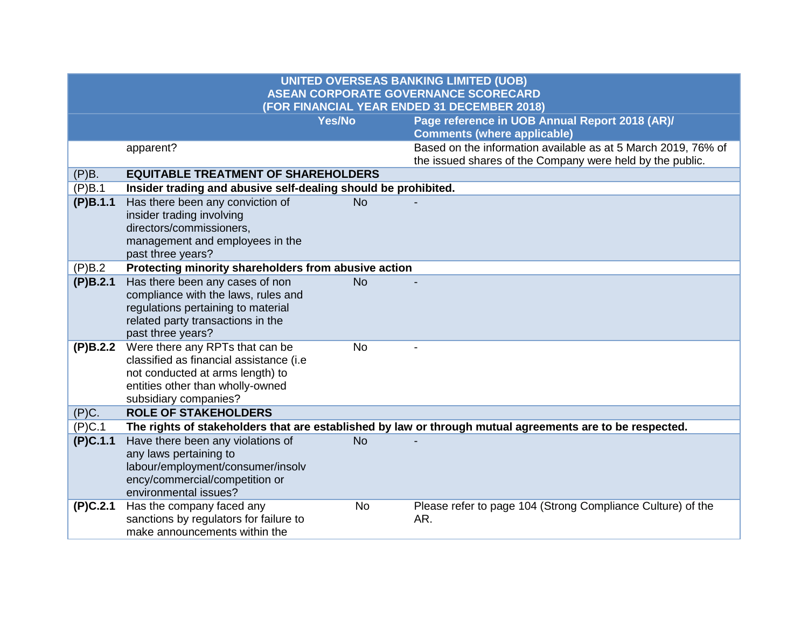| <b>UNITED OVERSEAS BANKING LIMITED (UOB)</b><br><b>ASEAN CORPORATE GOVERNANCE SCORECARD</b><br>(FOR FINANCIAL YEAR ENDED 31 DECEMBER 2018) |                                                                                                                                                                             |               |                                                                                                                            |  |
|--------------------------------------------------------------------------------------------------------------------------------------------|-----------------------------------------------------------------------------------------------------------------------------------------------------------------------------|---------------|----------------------------------------------------------------------------------------------------------------------------|--|
|                                                                                                                                            |                                                                                                                                                                             | <b>Yes/No</b> | Page reference in UOB Annual Report 2018 (AR)/<br><b>Comments (where applicable)</b>                                       |  |
|                                                                                                                                            | apparent?                                                                                                                                                                   |               | Based on the information available as at 5 March 2019, 76% of<br>the issued shares of the Company were held by the public. |  |
| (P)B.                                                                                                                                      | <b>EQUITABLE TREATMENT OF SHAREHOLDERS</b>                                                                                                                                  |               |                                                                                                                            |  |
| (P)B.1                                                                                                                                     | Insider trading and abusive self-dealing should be prohibited.                                                                                                              |               |                                                                                                                            |  |
| (P)B.1.1                                                                                                                                   | Has there been any conviction of<br>insider trading involving<br>directors/commissioners,<br>management and employees in the<br>past three years?                           | <b>No</b>     |                                                                                                                            |  |
| (P)B.2                                                                                                                                     | Protecting minority shareholders from abusive action                                                                                                                        |               |                                                                                                                            |  |
| (P)B.2.1                                                                                                                                   | Has there been any cases of non<br>compliance with the laws, rules and<br>regulations pertaining to material<br>related party transactions in the<br>past three years?      | <b>No</b>     |                                                                                                                            |  |
| (P)B.2.2                                                                                                                                   | Were there any RPTs that can be<br>classified as financial assistance (i.e<br>not conducted at arms length) to<br>entities other than wholly-owned<br>subsidiary companies? | <b>No</b>     |                                                                                                                            |  |
| (P)C.                                                                                                                                      | <b>ROLE OF STAKEHOLDERS</b>                                                                                                                                                 |               |                                                                                                                            |  |
| (P)C.1                                                                                                                                     |                                                                                                                                                                             |               | The rights of stakeholders that are established by law or through mutual agreements are to be respected.                   |  |
| (P)C.1.1                                                                                                                                   | Have there been any violations of<br>any laws pertaining to<br>labour/employment/consumer/insolv<br>ency/commercial/competition or<br>environmental issues?                 | <b>No</b>     |                                                                                                                            |  |
| (P)C.2.1                                                                                                                                   | Has the company faced any<br>sanctions by regulators for failure to<br>make announcements within the                                                                        | <b>No</b>     | Please refer to page 104 (Strong Compliance Culture) of the<br>AR.                                                         |  |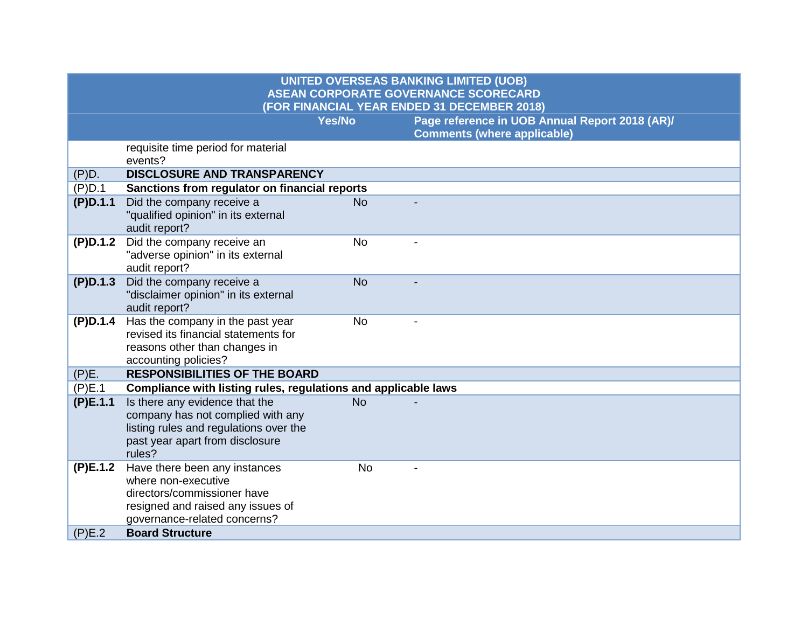| <b>UNITED OVERSEAS BANKING LIMITED (UOB)</b><br>ASEAN CORPORATE GOVERNANCE SCORECARD<br>(FOR FINANCIAL YEAR ENDED 31 DECEMBER 2018) |                                                                                                                                                            |           |                                                                                      |  |
|-------------------------------------------------------------------------------------------------------------------------------------|------------------------------------------------------------------------------------------------------------------------------------------------------------|-----------|--------------------------------------------------------------------------------------|--|
|                                                                                                                                     |                                                                                                                                                            | Yes/No    | Page reference in UOB Annual Report 2018 (AR)/<br><b>Comments (where applicable)</b> |  |
|                                                                                                                                     | requisite time period for material<br>events?                                                                                                              |           |                                                                                      |  |
| (P)D.                                                                                                                               | <b>DISCLOSURE AND TRANSPARENCY</b>                                                                                                                         |           |                                                                                      |  |
| (P)D.1                                                                                                                              | Sanctions from regulator on financial reports                                                                                                              |           |                                                                                      |  |
| (P)D.1.1                                                                                                                            | Did the company receive a<br>"qualified opinion" in its external<br>audit report?                                                                          | <b>No</b> |                                                                                      |  |
| (P)D.1.2                                                                                                                            | Did the company receive an<br>"adverse opinion" in its external<br>audit report?                                                                           | <b>No</b> |                                                                                      |  |
| (P)D.1.3                                                                                                                            | Did the company receive a<br>"disclaimer opinion" in its external<br>audit report?                                                                         | <b>No</b> |                                                                                      |  |
| (P)D.1.4                                                                                                                            | Has the company in the past year<br>revised its financial statements for<br>reasons other than changes in<br>accounting policies?                          | <b>No</b> |                                                                                      |  |
| (P)E.                                                                                                                               | <b>RESPONSIBILITIES OF THE BOARD</b>                                                                                                                       |           |                                                                                      |  |
| (P)E.1                                                                                                                              | Compliance with listing rules, regulations and applicable laws                                                                                             |           |                                                                                      |  |
| (P)E.1.1                                                                                                                            | Is there any evidence that the<br>company has not complied with any<br>listing rules and regulations over the<br>past year apart from disclosure<br>rules? | <b>No</b> |                                                                                      |  |
| (P)E.1.2                                                                                                                            | Have there been any instances<br>where non-executive<br>directors/commissioner have<br>resigned and raised any issues of<br>governance-related concerns?   | <b>No</b> |                                                                                      |  |
| (P)E.2                                                                                                                              | <b>Board Structure</b>                                                                                                                                     |           |                                                                                      |  |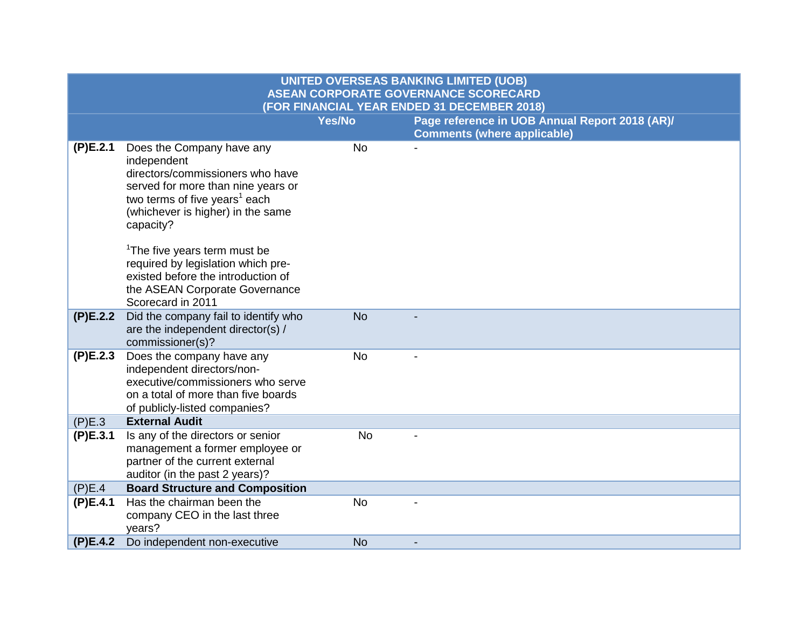| <b>UNITED OVERSEAS BANKING LIMITED (UOB)</b><br><b>ASEAN CORPORATE GOVERNANCE SCORECARD</b><br>(FOR FINANCIAL YEAR ENDED 31 DECEMBER 2018) |                                                                                                                                                                                                                   |           |                                                |
|--------------------------------------------------------------------------------------------------------------------------------------------|-------------------------------------------------------------------------------------------------------------------------------------------------------------------------------------------------------------------|-----------|------------------------------------------------|
|                                                                                                                                            |                                                                                                                                                                                                                   | Yes/No    | Page reference in UOB Annual Report 2018 (AR)/ |
|                                                                                                                                            |                                                                                                                                                                                                                   |           | <b>Comments (where applicable)</b>             |
| (P)E.2.1                                                                                                                                   | Does the Company have any<br>independent<br>directors/commissioners who have<br>served for more than nine years or<br>two terms of five years <sup>1</sup> each<br>(whichever is higher) in the same<br>capacity? | <b>No</b> |                                                |
|                                                                                                                                            | <sup>1</sup> The five years term must be<br>required by legislation which pre-<br>existed before the introduction of<br>the ASEAN Corporate Governance<br>Scorecard in 2011                                       |           |                                                |
| (P)E.2.2                                                                                                                                   | Did the company fail to identify who<br>are the independent director(s) /<br>commissioner(s)?                                                                                                                     | <b>No</b> |                                                |
| (P)E.2.3                                                                                                                                   | Does the company have any<br>independent directors/non-<br>executive/commissioners who serve<br>on a total of more than five boards<br>of publicly-listed companies?                                              | <b>No</b> |                                                |
| (P)E.3                                                                                                                                     | <b>External Audit</b>                                                                                                                                                                                             |           |                                                |
| (P)E.3.1                                                                                                                                   | Is any of the directors or senior<br>management a former employee or<br>partner of the current external<br>auditor (in the past 2 years)?                                                                         | <b>No</b> |                                                |
| (P)E.4                                                                                                                                     | <b>Board Structure and Composition</b>                                                                                                                                                                            |           |                                                |
| (P)E.4.1                                                                                                                                   | Has the chairman been the<br>company CEO in the last three<br>years?                                                                                                                                              | <b>No</b> |                                                |
| (P)E.4.2                                                                                                                                   | Do independent non-executive                                                                                                                                                                                      | <b>No</b> |                                                |